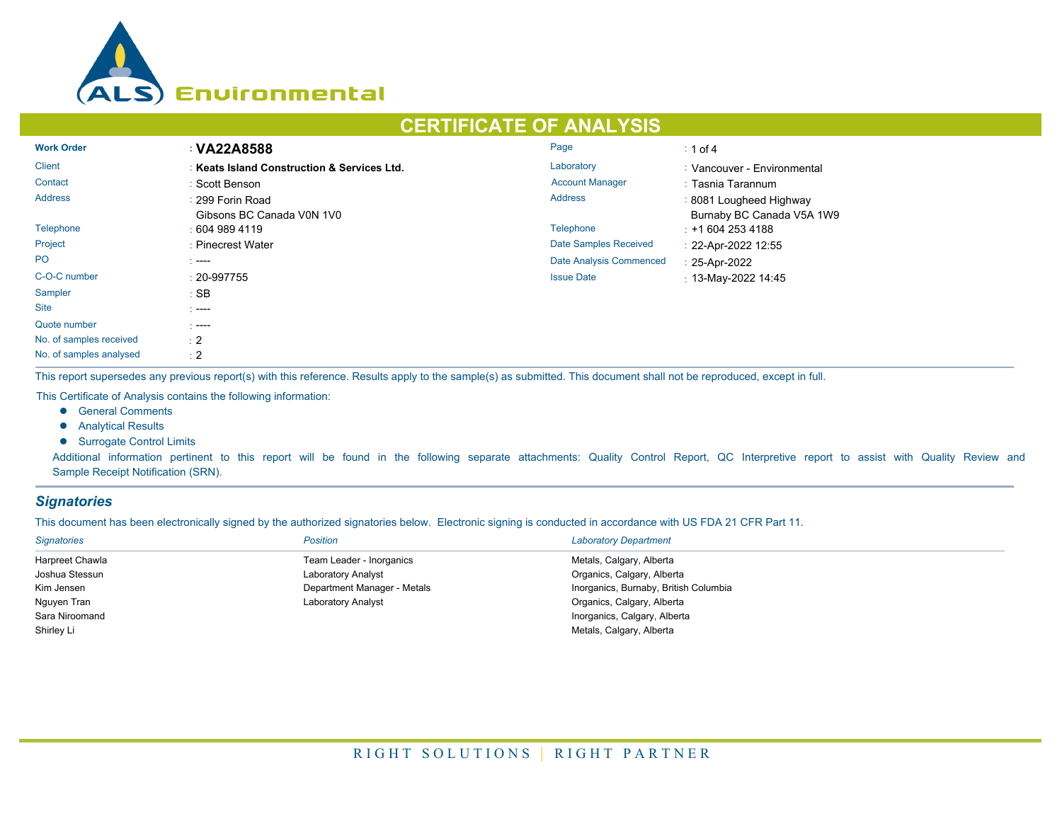

# **CERTIFICATE OF ANALYSIS**

| <b>Work Order</b>       | : VA22A8588                                 | Page                         | $\div$ 1 of 4               |
|-------------------------|---------------------------------------------|------------------------------|-----------------------------|
| <b>Client</b>           | : Keats Island Construction & Services Ltd. | Laboratory                   | : Vancouver - Environmental |
| Contact                 | : Scott Benson                              | <b>Account Manager</b>       | : Tasnia Tarannum           |
| <b>Address</b>          | : 299 Forin Road                            | <b>Address</b>               | : 8081 Lougheed Highway     |
|                         | Gibsons BC Canada V0N 1V0                   |                              | Burnaby BC Canada V5A 1W9   |
| Telephone               | $\pm 6049894119$                            | <b>Telephone</b>             | $\div$ +1 604 253 4188      |
| Project                 | : Pinecrest Water                           | <b>Date Samples Received</b> | : 22-Apr-2022 12:55         |
| <b>PO</b>               | $\sim$ ----                                 | Date Analysis Commenced      | : 25-Apr-2022               |
| C-O-C number            | $: 20 - 997755$                             | <b>Issue Date</b>            | : 13-May-2022 14:45         |
| <b>Sampler</b>          | $:$ SB                                      |                              |                             |
| <b>Site</b>             | * ----                                      |                              |                             |
| Quote number            | -----                                       |                              |                             |
| No. of samples received | $\pm 2$                                     |                              |                             |
| No. of samples analysed | $\div 2$                                    |                              |                             |

This report supersedes any previous report(s) with this reference. Results apply to the sample(s) as submitted. This document shall not be reproduced, except in full.

This Certificate of Analysis contains the following information:

- **e** General Comments
- **•** Analytical Results
- **•** Surrogate Control Limits

Additional information pertinent to this report will be found in the following separate attachments: Quality Control Report, QC Interpretive report to assist with Quality Review and Sample Receipt Notification (SRN).

## *Signatories*

This document has been electronically signed by the authorized signatories below. Electronic signing is conducted in accordance with US FDA 21 CFR Part 11.

| <b>Signatories</b> | <b>Position</b>             | <b>Laboratory Department</b>          |
|--------------------|-----------------------------|---------------------------------------|
| Harpreet Chawla    | Team Leader - Inorganics    | Metals, Calgary, Alberta              |
| Joshua Stessun     | Laboratory Analyst          | Organics, Calgary, Alberta            |
| Kim Jensen         | Department Manager - Metals | Inorganics, Burnaby, British Columbia |
| Nguyen Tran        | Laboratory Analyst          | Organics, Calgary, Alberta            |
| Sara Niroomand     |                             | Inorganics, Calgary, Alberta          |
| Shirley Li         |                             | Metals, Calgary, Alberta              |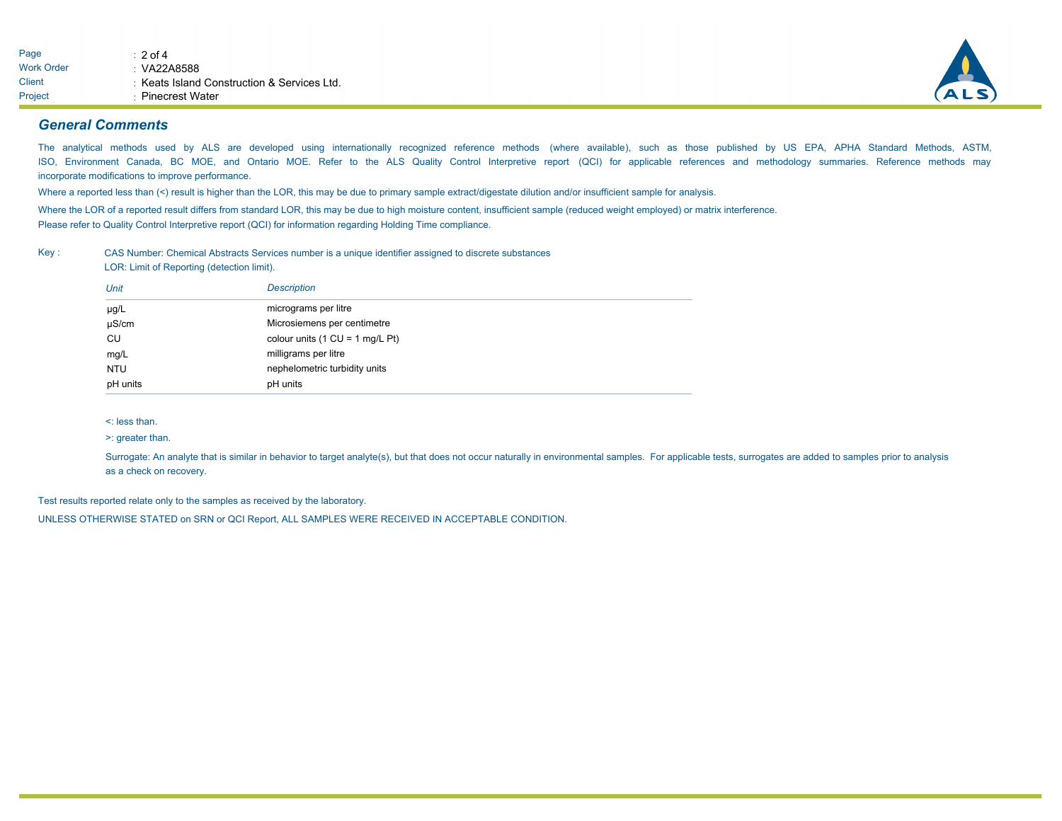

#### *General Comments*

The analytical methods used by ALS are developed using internationally recognized reference methods (where available), such as those published by US EPA, APHA Standard Methods, ASTM, ISO, Environment Canada, BC MOE, and Ontario MOE. Refer to the ALS Quality Control Interpretive report (QCI) for applicable references and methodology summaries. Reference methods may incorporate modifications to improve performance.

Where a reported less than (<) result is higher than the LOR, this may be due to primary sample extract/digestate dilution and/or insufficient sample for analysis.

Where the LOR of a reported result differs from standard LOR, this may be due to high moisture content, insufficient sample (reduced weight employed) or matrix interference. Please refer to Quality Control Interpretive report (QCI) for information regarding Holding Time compliance.

Key : CAS Number: Chemical Abstracts Services number is a unique identifier assigned to discrete substances LOR: Limit of Reporting (detection limit).

| Unit       | <b>Description</b>                                |
|------------|---------------------------------------------------|
| $\mu$ g/L  | micrograms per litre                              |
| $\mu$ S/cm | Microsiemens per centimetre                       |
| CU         | colour units $(1 \text{ CU} = 1 \text{ mg/L Pt})$ |
| mg/L       | milligrams per litre                              |
| <b>NTU</b> | nephelometric turbidity units                     |
| pH units   | pH units                                          |

<: less than.

>: greater than.

Surrogate: An analyte that is similar in behavior to target analyte(s), but that does not occur naturally in environmental samples. For applicable tests, surrogates are added to samples prior to analysis as a check on recovery.

Test results reported relate only to the samples as received by the laboratory.

UNLESS OTHERWISE STATED on SRN or QCI Report, ALL SAMPLES WERE RECEIVED IN ACCEPTABLE CONDITION.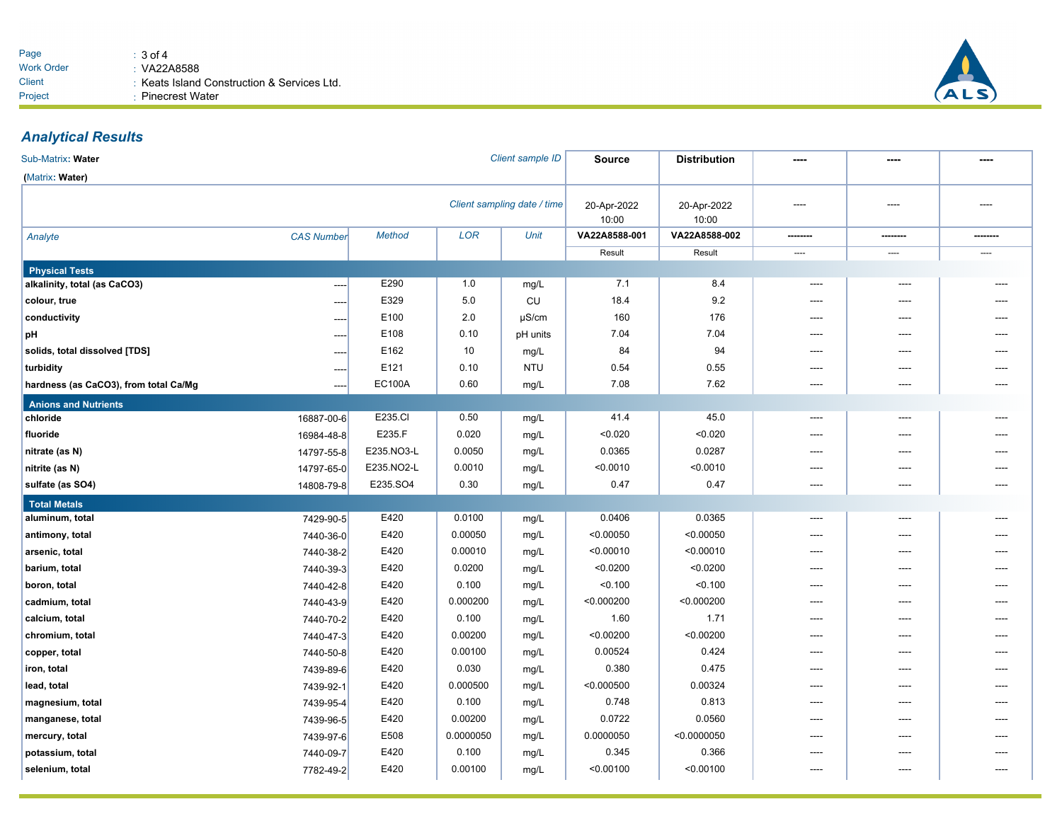

## *Analytical Results*

| Sub-Matrix: Water                     |                   |               |            | Client sample ID            | Source               | <b>Distribution</b>  |          |          |      |
|---------------------------------------|-------------------|---------------|------------|-----------------------------|----------------------|----------------------|----------|----------|------|
| (Matrix: Water)                       |                   |               |            |                             |                      |                      |          |          |      |
|                                       |                   |               |            | Client sampling date / time | 20-Apr-2022<br>10:00 | 20-Apr-2022<br>10:00 | ----     | ----     | ---- |
| Analyte                               | <b>CAS Number</b> | <b>Method</b> | <b>LOR</b> | Unit                        | VA22A8588-001        | VA22A8588-002        | -------- | -------- |      |
|                                       |                   |               |            |                             | Result               | Result               | ----     | ----     | ---- |
| <b>Physical Tests</b>                 |                   |               |            |                             |                      |                      |          |          |      |
| alkalinity, total (as CaCO3)          | ----              | E290          | 1.0        | mg/L                        | 7.1                  | 8.4                  | ----     |          |      |
| colour, true                          | ----              | E329          | 5.0        | CU                          | 18.4                 | 9.2                  | ----     | ----     |      |
| conductivity                          | ----              | E100          | 2.0        | $\mu$ S/cm                  | 160                  | 176                  | ----     | ----     |      |
| pH                                    | ----              | E108          | 0.10       | pH units                    | 7.04                 | 7.04                 | ----     | ----     |      |
| solids, total dissolved [TDS]         |                   | E162          | 10         | mg/L                        | 84                   | 94                   | ----     | ----     |      |
| turbidity                             | ----              | E121          | 0.10       | <b>NTU</b>                  | 0.54                 | 0.55                 | ----     | ----     |      |
| hardness (as CaCO3), from total Ca/Mg |                   | <b>EC100A</b> | 0.60       | mg/L                        | 7.08                 | 7.62                 | $---$    | ----     |      |
| <b>Anions and Nutrients</b>           |                   |               |            |                             |                      |                      |          |          |      |
| chloride                              | 16887-00-6        | E235.CI       | 0.50       | mg/L                        | 41.4                 | 45.0                 | $\cdots$ | ----     |      |
| fluoride                              | 16984-48-8        | E235.F        | 0.020      | mg/L                        | < 0.020              | < 0.020              | ----     | ----     |      |
| nitrate (as N)                        | 14797-55-8        | E235.NO3-L    | 0.0050     | mg/L                        | 0.0365               | 0.0287               | ----     | ----     |      |
| nitrite (as N)                        | 14797-65-0        | E235.NO2-L    | 0.0010     | mg/L                        | < 0.0010             | < 0.0010             | ----     | ----     |      |
| sulfate (as SO4)                      | 14808-79-8        | E235.SO4      | 0.30       | mg/L                        | 0.47                 | 0.47                 | ----     | ----     |      |
| <b>Total Metals</b>                   |                   |               |            |                             |                      |                      |          |          |      |
| aluminum, total                       | 7429-90-5         | E420          | 0.0100     | mg/L                        | 0.0406               | 0.0365               | $---$    | ----     |      |
| antimony, total                       | 7440-36-0         | E420          | 0.00050    | mg/L                        | < 0.00050            | < 0.00050            | ----     | ----     |      |
| arsenic, total                        | 7440-38-2         | E420          | 0.00010    | mg/L                        | < 0.00010            | < 0.00010            | ----     | ----     |      |
| barium, total                         | 7440-39-3         | E420          | 0.0200     | mg/L                        | < 0.0200             | < 0.0200             | ----     | ----     |      |
| boron, total                          | 7440-42-8         | E420          | 0.100      | mg/L                        | < 0.100              | < 0.100              | ----     | ----     |      |
| cadmium, total                        | 7440-43-9         | E420          | 0.000200   | mg/L                        | < 0.000200           | < 0.000200           | ----     | ----     |      |
| calcium, total                        | 7440-70-2         | E420          | 0.100      | mg/L                        | 1.60                 | 1.71                 | ----     | ----     |      |
| chromium, total                       | 7440-47-3         | E420          | 0.00200    | mg/L                        | < 0.00200            | < 0.00200            | ----     | ----     |      |
| copper, total                         | 7440-50-8         | E420          | 0.00100    | mg/L                        | 0.00524              | 0.424                | ----     | ----     | ---- |
| iron, total                           | 7439-89-6         | E420          | 0.030      | mg/L                        | 0.380                | 0.475                | ----     | ----     |      |
| lead, total                           | 7439-92-1         | E420          | 0.000500   | mg/L                        | < 0.000500           | 0.00324              | ----     | ----     | ---- |
| magnesium, total                      | 7439-95-4         | E420          | 0.100      | mg/L                        | 0.748                | 0.813                | ----     | ----     |      |
| manganese, total                      | 7439-96-5         | E420          | 0.00200    | mg/L                        | 0.0722               | 0.0560               | ----     | ----     |      |
| mercury, total                        | 7439-97-6         | E508          | 0.0000050  | mg/L                        | 0.0000050            | < 0.0000050          | ----     | ----     |      |
| potassium, total                      | 7440-09-7         | E420          | 0.100      | mg/L                        | 0.345                | 0.366                | ----     | ----     |      |
| selenium, total                       | 7782-49-2         | E420          | 0.00100    | mg/L                        | < 0.00100            | < 0.00100            | ----     | ----     |      |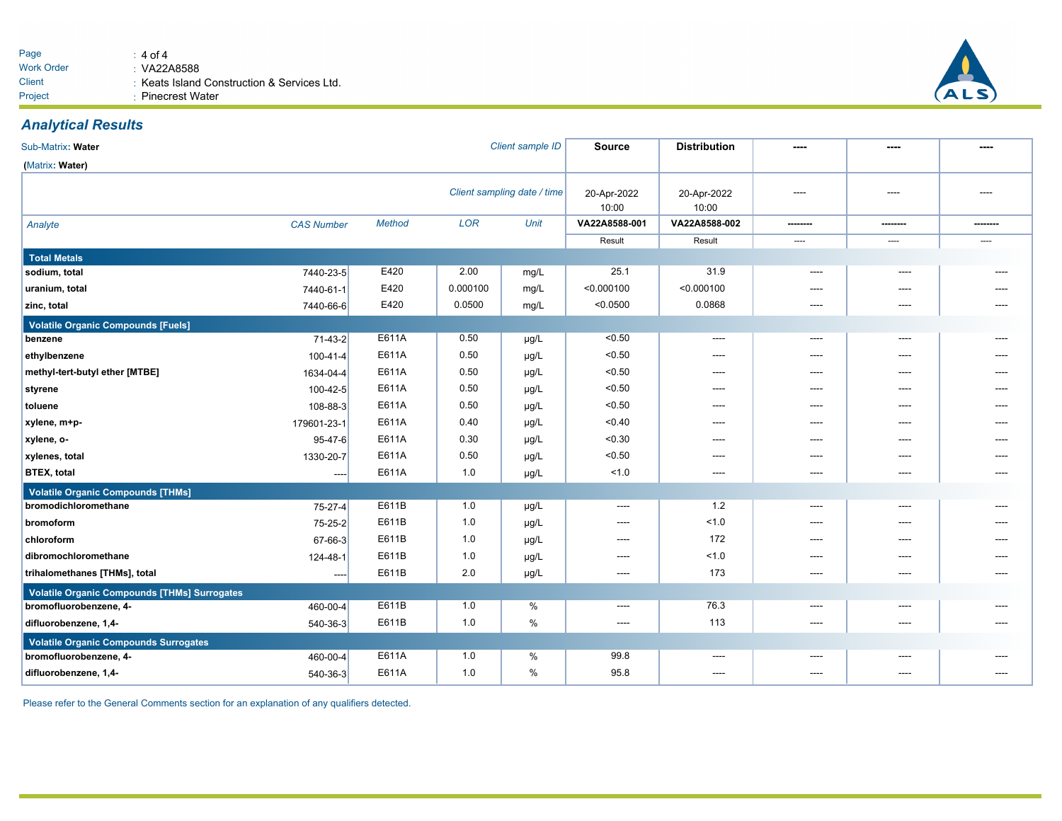

## *Analytical Results*

| Sub-Matrix: Water                                   |                   |               |            | Client sample ID            | <b>Source</b>        | <b>Distribution</b>  | ----     | ----           | ----     |
|-----------------------------------------------------|-------------------|---------------|------------|-----------------------------|----------------------|----------------------|----------|----------------|----------|
| (Matrix: Water)                                     |                   |               |            |                             |                      |                      |          |                |          |
|                                                     |                   |               |            | Client sampling date / time | 20-Apr-2022<br>10:00 | 20-Apr-2022<br>10:00 | ----     | ----           | ----     |
| Analyte                                             | <b>CAS Number</b> | <b>Method</b> | <b>LOR</b> | <b>Unit</b>                 | VA22A8588-001        | VA22A8588-002        | -------- | --------       | -------- |
|                                                     |                   |               |            |                             | Result               | Result               | $\cdots$ | $\sim$         | $\sim$   |
| <b>Total Metals</b>                                 |                   |               |            |                             |                      |                      |          |                |          |
| sodium, total                                       | 7440-23-5         | E420          | 2.00       | mg/L                        | 25.1                 | 31.9                 | $---$    | ----           |          |
| uranium, total                                      | 7440-61-1         | E420          | 0.000100   | mg/L                        | < 0.000100           | < 0.000100           | ----     | ----           |          |
| zinc, total                                         | 7440-66-6         | E420          | 0.0500     | mg/L                        | < 0.0500             | 0.0868               | $---$    | ----           |          |
| <b>Volatile Organic Compounds [Fuels]</b>           |                   |               |            |                             |                      |                      |          |                |          |
| benzene                                             | $71-43-2$         | E611A         | 0.50       | µg/L                        | < 0.50               |                      |          | ----           |          |
| ethylbenzene                                        | 100-41-4          | E611A         | 0.50       | $\mu$ g/L                   | < 0.50               | ----                 | $---$    | $---$          |          |
| methyl-tert-butyl ether [MTBE]                      | 1634-04-4         | E611A         | 0.50       | $\mu g/L$                   | < 0.50               | $---$                | ----     | $---$          |          |
| styrene                                             | $100 - 42 - 5$    | E611A         | 0.50       | $\mu$ g/L                   | < 0.50               | ----                 | ----     | ----           | ----     |
| toluene                                             | 108-88-3          | E611A         | 0.50       | $\mu g/L$                   | < 0.50               | ----                 | ----     | ----           |          |
| xylene, m+p-                                        | 179601-23-1       | E611A         | 0.40       | µg/L                        | < 0.40               | ----                 | $---$    | $---$          |          |
| xylene, o-                                          | 95-47-6           | E611A         | 0.30       | $\mu g/L$                   | < 0.30               | ----                 | $---$    | $\overline{a}$ |          |
| xylenes, total                                      | 1330-20-7         | E611A         | 0.50       | $\mu$ g/L                   | < 0.50               | ----                 | $---$    | $---$          | ----     |
| <b>BTEX, total</b>                                  | $---$             | E611A         | 1.0        | $\mu$ g/L                   | 1.0                  | ----                 | ----     | ----           | ----     |
| <b>Volatile Organic Compounds [THMs]</b>            |                   |               |            |                             |                      |                      |          |                |          |
| bromodichloromethane                                | $75 - 27 - 4$     | E611B         | 1.0        | µg/L                        | $---$                | 1.2                  | $---$    | $---$          | ----     |
| bromoform                                           | $75 - 25 - 2$     | E611B         | 1.0        | $\mu g/L$                   | ----                 | < 1.0                | ----     | ----           |          |
| chloroform                                          | 67-66-3           | E611B         | 1.0        | $\mu g/L$                   | ----                 | 172                  | ----     | ----           |          |
| dibromochloromethane                                | 124-48-1          | E611B         | 1.0        | µg/L                        | ----                 | 1.0                  | ----     | ----           | ----     |
| trihalomethanes [THMs], total                       | $---$             | E611B         | 2.0        | µg/L                        | ----                 | 173                  | $---$    | $---$          | ----     |
| <b>Volatile Organic Compounds [THMs] Surrogates</b> |                   |               |            |                             |                      |                      |          |                |          |
| bromofluorobenzene, 4-                              | 460-00-4          | E611B         | 1.0        | %                           | ----                 | 76.3                 | ----     | ----           |          |
| difluorobenzene, 1,4-                               | $540-36-3$        | E611B         | 1.0        | %                           | ----                 | 113                  | ----     | ----           | ----     |
| <b>Volatile Organic Compounds Surrogates</b>        |                   |               |            |                             |                      |                      |          |                |          |
| bromofluorobenzene, 4-                              | 460-00-4          | E611A         | 1.0        | %                           | 99.8                 | $---$                | ----     | ----           | ----     |
| difluorobenzene, 1,4-                               | 540-36-3          | E611A         | 1.0        | %                           | 95.8                 | ----                 | ----     | ----           | ----     |

Please refer to the General Comments section for an explanation of any qualifiers detected.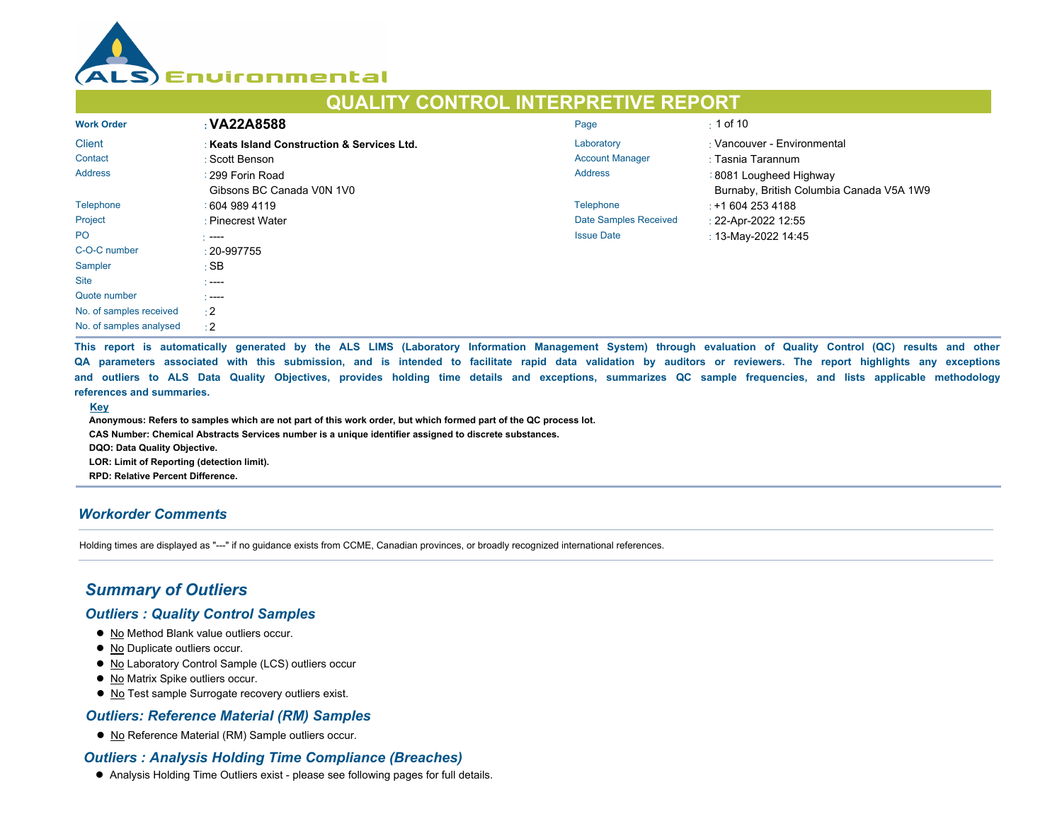

# **QUALITY CONTROL INTERPRETIVE REPORT**

| <b>Work Order</b>       | : VA22A8588                                 | Page                         | $\pm$ 1 of 10                            |
|-------------------------|---------------------------------------------|------------------------------|------------------------------------------|
| <b>Client</b>           | : Keats Island Construction & Services Ltd. | Laboratory                   | : Vancouver - Environmental              |
| Contact                 | : Scott Benson                              | <b>Account Manager</b>       | : Tasnia Tarannum                        |
| <b>Address</b>          | : 299 Forin Road                            | <b>Address</b>               | : 8081 Lougheed Highway                  |
|                         | Gibsons BC Canada V0N 1V0                   |                              | Burnaby, British Columbia Canada V5A 1W9 |
| Telephone               | 1604 989 4119                               | Telephone                    | $: +16042534188$                         |
| Project                 | : Pinecrest Water                           | <b>Date Samples Received</b> | : 22-Apr-2022 12:55                      |
| <b>PO</b>               | $---$                                       | <b>Issue Date</b>            | : 13-May-2022 14:45                      |
| C-O-C number            | $: 20 - 997755$                             |                              |                                          |
| Sampler                 | : SB                                        |                              |                                          |
| <b>Site</b>             | - ----                                      |                              |                                          |
| Quote number            | $\sim$ ----                                 |                              |                                          |
| No. of samples received | $\div 2$                                    |                              |                                          |
| No. of samples analysed | $\div 2$                                    |                              |                                          |

**This report is automatically generated by the ALS LIMS (Laboratory Information Management System) through evaluation of Quality Control (QC) results and other QA parameters associated with this submission, and is intended to facilitate rapid data validation by auditors or reviewers. The report highlights any exceptions and outliers to ALS Data Quality Objectives, provides holding time details and exceptions, summarizes QC sample frequencies, and lists applicable methodology references and summaries.** 

#### **Key**

**Anonymous: Refers to samples which are not part of this work order, but which formed part of the QC process lot.**

**CAS Number: Chemical Abstracts Services number is a unique identifier assigned to discrete substances.**

**DQO: Data Quality Objective.**

**LOR: Limit of Reporting (detection limit).**

**RPD: Relative Percent Difference.**

## *Workorder Comments*

Holding times are displayed as "---" if no guidance exists from CCME, Canadian provinces, or broadly recognized international references.

## *Summary of Outliers*

#### *Outliers : Quality Control Samples*

- $\bullet$  No Method Blank value outliers occur.
- $\bullet$  No Duplicate outliers occur.
- $\bullet$  No Laboratory Control Sample (LCS) outliers occur
- $\bullet$  No Matrix Spike outliers occur.
- No Test sample Surrogate recovery outliers exist.

## *Outliers: Reference Material (RM) Samples*

● No Reference Material (RM) Sample outliers occur.

## *Outliers : Analysis Holding Time Compliance (Breaches)*

**• Analysis Holding Time Outliers exist - please see following pages for full details.**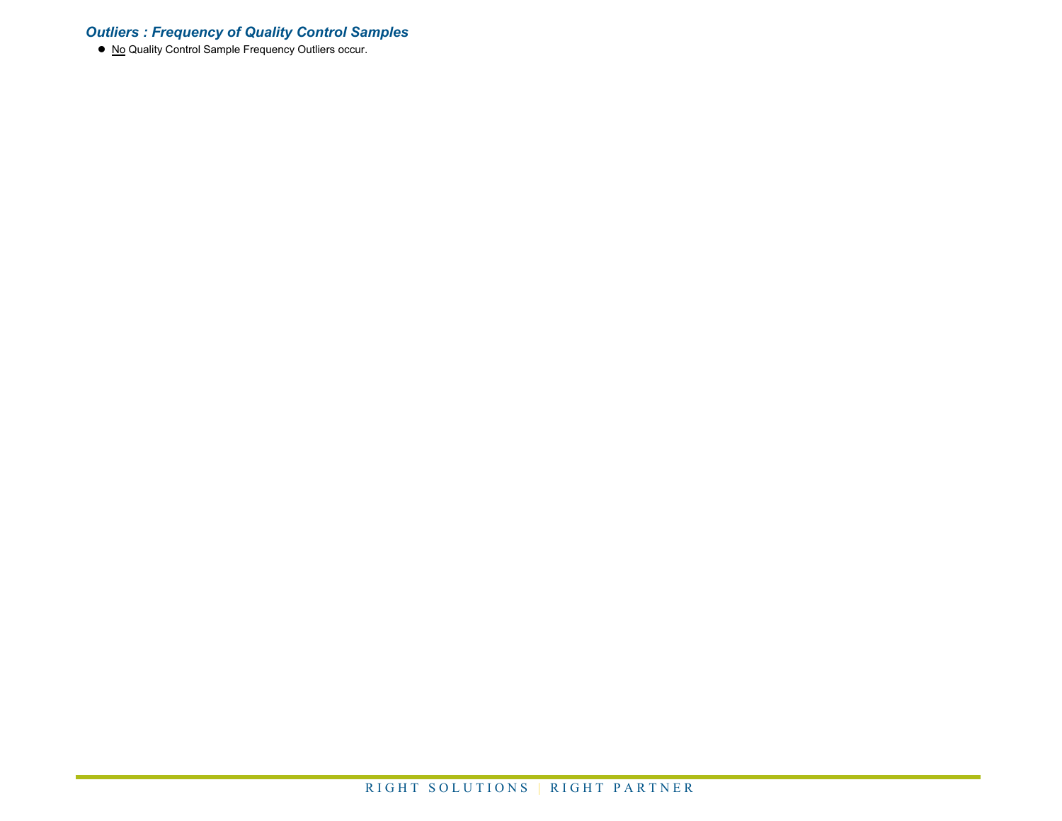## *Outliers : Frequency of Quality Control Samples*

● No Quality Control Sample Frequency Outliers occur.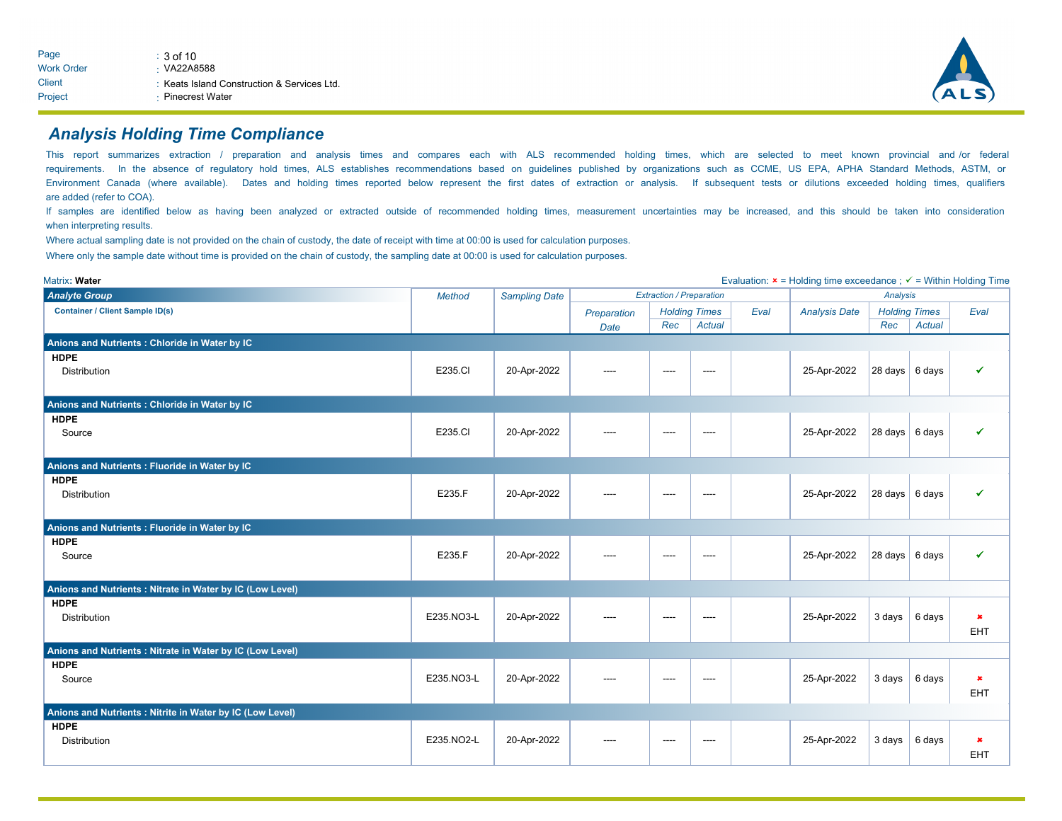

## *Analysis Holding Time Compliance*

This report summarizes extraction / preparation and analysis times and compares each with ALS recommended holding times, which are selected to meet known provincial and /or federal requirements. In the absence of regulatory hold times, ALS establishes recommendations based on guidelines published by organizations such as CCME, US EPA, APHA Standard Methods, ASTM, or Environment Canada (where available). Dates and holding times reported below represent the first dates of extraction or analysis. If subsequent tests or dilutions exceeded holding times, qualifiers are added (refer to COA).

If samples are identified below as having been analyzed or extracted outside of recommended holding times, measurement uncertainties may be increased, and this should be taken into consideration when interpreting results.

Where actual sampling date is not provided on the chain of custody, the date of receipt with time at 00:00 is used for calculation purposes.

Where only the sample date without time is provided on the chain of custody, the sampling date at 00:00 is used for calculation purposes.

| Matrix: Water                                             |               |                      |             |                                 |                      |      | Evaluation: $x =$ Holding time exceedance ; $\checkmark$ = Within Holding Time |                          |                      |                |
|-----------------------------------------------------------|---------------|----------------------|-------------|---------------------------------|----------------------|------|--------------------------------------------------------------------------------|--------------------------|----------------------|----------------|
| <b>Analyte Group</b>                                      | <b>Method</b> | <b>Sampling Date</b> |             | <b>Extraction / Preparation</b> |                      |      | Analysis                                                                       |                          |                      |                |
| <b>Container / Client Sample ID(s)</b>                    |               |                      | Preparation |                                 | <b>Holding Times</b> | Eval | <b>Analysis Date</b>                                                           |                          | <b>Holding Times</b> | Eval           |
|                                                           |               |                      | Date        | Rec                             | Actual               |      |                                                                                | Rec                      | <b>Actual</b>        |                |
| Anions and Nutrients : Chloride in Water by IC            |               |                      |             |                                 |                      |      |                                                                                |                          |                      |                |
| <b>HDPE</b>                                               |               |                      |             |                                 |                      |      |                                                                                |                          |                      |                |
| <b>Distribution</b>                                       | E235.CI       | 20-Apr-2022          | ----        | ----                            | ----                 |      | 25-Apr-2022                                                                    | $28 \text{ days}$ 6 days |                      | ✔              |
|                                                           |               |                      |             |                                 |                      |      |                                                                                |                          |                      |                |
| Anions and Nutrients : Chloride in Water by IC            |               |                      |             |                                 |                      |      |                                                                                |                          |                      |                |
| <b>HDPE</b>                                               |               |                      |             |                                 |                      |      |                                                                                |                          |                      |                |
| Source                                                    | E235.CI       | 20-Apr-2022          | ----        | ----                            | ----                 |      | 25-Apr-2022                                                                    | $28 \text{ days}$ 6 days |                      | $\checkmark$   |
|                                                           |               |                      |             |                                 |                      |      |                                                                                |                          |                      |                |
| Anions and Nutrients : Fluoride in Water by IC            |               |                      |             |                                 |                      |      |                                                                                |                          |                      |                |
| <b>HDPE</b>                                               |               |                      |             |                                 |                      |      |                                                                                |                          |                      |                |
| <b>Distribution</b>                                       | E235.F        | 20-Apr-2022          | ----        | ----                            | ----                 |      | 25-Apr-2022                                                                    | $28 \text{ days}$ 6 days |                      | $\checkmark$   |
|                                                           |               |                      |             |                                 |                      |      |                                                                                |                          |                      |                |
| Anions and Nutrients : Fluoride in Water by IC            |               |                      |             |                                 |                      |      |                                                                                |                          |                      |                |
| <b>HDPE</b>                                               |               |                      |             |                                 |                      |      |                                                                                |                          |                      |                |
| Source                                                    | E235.F        | 20-Apr-2022          | $---$       | ----                            | ----                 |      | 25-Apr-2022                                                                    | $28 \text{ days}$ 6 days |                      | $\checkmark$   |
|                                                           |               |                      |             |                                 |                      |      |                                                                                |                          |                      |                |
| Anions and Nutrients : Nitrate in Water by IC (Low Level) |               |                      |             |                                 |                      |      |                                                                                |                          |                      |                |
| <b>HDPE</b>                                               |               |                      |             |                                 |                      |      |                                                                                |                          |                      |                |
| Distribution                                              | E235.NO3-L    | 20-Apr-2022          | ----        | ----                            | ----                 |      | 25-Apr-2022                                                                    | $3 \text{ days}$         | 6 days               | $\pmb{\times}$ |
|                                                           |               |                      |             |                                 |                      |      |                                                                                |                          |                      | <b>EHT</b>     |
| Anions and Nutrients : Nitrate in Water by IC (Low Level) |               |                      |             |                                 |                      |      |                                                                                |                          |                      |                |
| <b>HDPE</b>                                               |               |                      |             |                                 |                      |      |                                                                                |                          |                      |                |
| Source                                                    | E235.NO3-L    | 20-Apr-2022          | ----        | ----                            | ----                 |      | 25-Apr-2022                                                                    |                          | 3 days 6 days        | $\pmb{\times}$ |
|                                                           |               |                      |             |                                 |                      |      |                                                                                |                          |                      | EHT            |
| Anions and Nutrients : Nitrite in Water by IC (Low Level) |               |                      |             |                                 |                      |      |                                                                                |                          |                      |                |
| <b>HDPE</b>                                               |               |                      |             |                                 |                      |      |                                                                                |                          |                      |                |
| <b>Distribution</b>                                       | E235.NO2-L    | 20-Apr-2022          | $---$       | $---$                           | $\cdots$             |      | 25-Apr-2022                                                                    | $3$ days                 | 6 days               | $\pmb{\times}$ |
|                                                           |               |                      |             |                                 |                      |      |                                                                                |                          |                      | <b>EHT</b>     |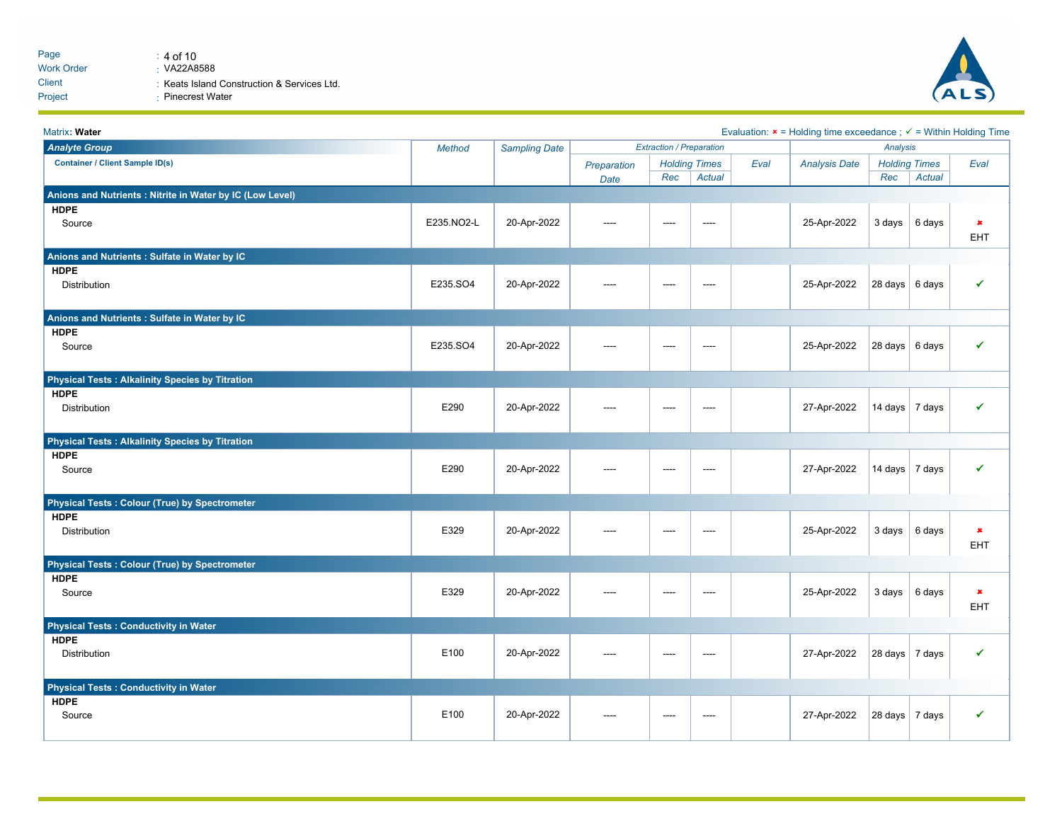

| Matrix: Water                                             |               |                      |             |                                 |                      |      | Evaluation: $x =$ Holding time exceedance ; $\checkmark$ = Within Holding Time |                          |                      |                |
|-----------------------------------------------------------|---------------|----------------------|-------------|---------------------------------|----------------------|------|--------------------------------------------------------------------------------|--------------------------|----------------------|----------------|
| <b>Analyte Group</b>                                      | <b>Method</b> | <b>Sampling Date</b> |             | <b>Extraction / Preparation</b> |                      |      |                                                                                | Analysis                 |                      |                |
| <b>Container / Client Sample ID(s)</b>                    |               |                      | Preparation |                                 | <b>Holding Times</b> | Eval | <b>Analysis Date</b>                                                           |                          | <b>Holding Times</b> | Eval           |
|                                                           |               |                      | Date        | Rec                             | Actual               |      |                                                                                | Rec                      | <b>Actual</b>        |                |
| Anions and Nutrients : Nitrite in Water by IC (Low Level) |               |                      |             |                                 |                      |      |                                                                                |                          |                      |                |
| <b>HDPE</b>                                               |               |                      |             |                                 |                      |      |                                                                                |                          |                      |                |
| Source                                                    | E235.NO2-L    | 20-Apr-2022          | ----        | $---$                           | ----                 |      | 25-Apr-2022                                                                    | $3 \text{ days}$         | 6 days               | $\pmb{\times}$ |
|                                                           |               |                      |             |                                 |                      |      |                                                                                |                          |                      | EHT            |
| Anions and Nutrients : Sulfate in Water by IC             |               |                      |             |                                 |                      |      |                                                                                |                          |                      |                |
| <b>HDPE</b>                                               |               |                      |             |                                 |                      |      |                                                                                |                          |                      |                |
| Distribution                                              | E235.SO4      | 20-Apr-2022          | ----        | $---$                           | $---$                |      | 25-Apr-2022                                                                    | $28$ days $6$ days       |                      | ✔              |
|                                                           |               |                      |             |                                 |                      |      |                                                                                |                          |                      |                |
| Anions and Nutrients : Sulfate in Water by IC             |               |                      |             |                                 |                      |      |                                                                                |                          |                      |                |
| <b>HDPE</b>                                               |               |                      |             |                                 |                      |      |                                                                                |                          |                      |                |
| Source                                                    | E235.SO4      | 20-Apr-2022          | ----        | ----                            | ----                 |      | 25-Apr-2022                                                                    | $28 \text{ days}$ 6 days |                      | ✔              |
|                                                           |               |                      |             |                                 |                      |      |                                                                                |                          |                      |                |
| <b>Physical Tests: Alkalinity Species by Titration</b>    |               |                      |             |                                 |                      |      |                                                                                |                          |                      |                |
| <b>HDPE</b>                                               |               |                      |             |                                 |                      |      |                                                                                |                          |                      |                |
| Distribution                                              | E290          | 20-Apr-2022          | ----        | ----                            | $\cdots$             |      | 27-Apr-2022                                                                    | 14 days $\vert$ 7 days   |                      | ✔              |
|                                                           |               |                      |             |                                 |                      |      |                                                                                |                          |                      |                |
| <b>Physical Tests: Alkalinity Species by Titration</b>    |               |                      |             |                                 |                      |      |                                                                                |                          |                      |                |
| <b>HDPE</b>                                               |               |                      |             |                                 |                      |      |                                                                                |                          |                      |                |
| Source                                                    | E290          | 20-Apr-2022          | ----        | $---$                           | $---$                |      | 27-Apr-2022                                                                    | 14 days 7 days           |                      | ✔              |
|                                                           |               |                      |             |                                 |                      |      |                                                                                |                          |                      |                |
| <b>Physical Tests: Colour (True) by Spectrometer</b>      |               |                      |             |                                 |                      |      |                                                                                |                          |                      |                |
| <b>HDPE</b>                                               |               |                      |             |                                 |                      |      |                                                                                |                          |                      |                |
| Distribution                                              | E329          | 20-Apr-2022          | ----        | $---$                           | $---$                |      | 25-Apr-2022                                                                    | $3 \text{ days}$         | 6 days               | $\pmb{\times}$ |
|                                                           |               |                      |             |                                 |                      |      |                                                                                |                          |                      | EHT            |
| <b>Physical Tests: Colour (True) by Spectrometer</b>      |               |                      |             |                                 |                      |      |                                                                                |                          |                      |                |
| <b>HDPE</b>                                               |               |                      |             |                                 |                      |      |                                                                                |                          |                      |                |
| Source                                                    | E329          | 20-Apr-2022          | ----        | ----                            | $\cdots$             |      | 25-Apr-2022                                                                    | 3 days                   | 6 days               | $\pmb{\times}$ |
|                                                           |               |                      |             |                                 |                      |      |                                                                                |                          |                      | EHT            |
| <b>Physical Tests: Conductivity in Water</b>              |               |                      |             |                                 |                      |      |                                                                                |                          |                      |                |
| <b>HDPE</b>                                               |               |                      |             |                                 |                      |      |                                                                                |                          |                      |                |
| Distribution                                              | E100          | 20-Apr-2022          | ----        | $---$                           | ----                 |      | 27-Apr-2022                                                                    | $28 \text{ days}$ 7 days |                      | ✔              |
|                                                           |               |                      |             |                                 |                      |      |                                                                                |                          |                      |                |
| <b>Physical Tests: Conductivity in Water</b>              |               |                      |             |                                 |                      |      |                                                                                |                          |                      |                |
| <b>HDPE</b>                                               |               |                      |             |                                 |                      |      |                                                                                |                          |                      |                |
| Source                                                    | E100          | 20-Apr-2022          | ----        | $---$                           | ----                 |      | 27-Apr-2022                                                                    | $28$ days $\vert 7$ days |                      | ✔              |
|                                                           |               |                      |             |                                 |                      |      |                                                                                |                          |                      |                |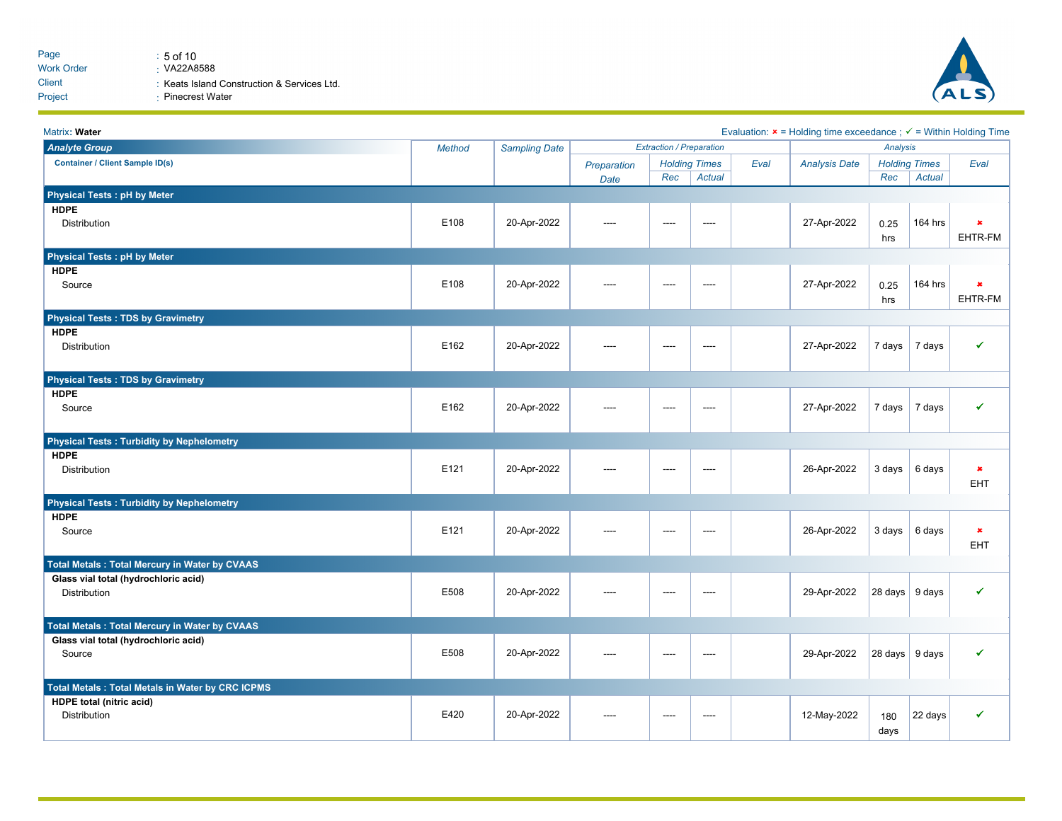

| Matrix: Water                                           |               |                      |             |                                 |                      |      | Evaluation: $x =$ Holding time exceedance ; $\checkmark$ = Within Holding Time |                          |                      |                |
|---------------------------------------------------------|---------------|----------------------|-------------|---------------------------------|----------------------|------|--------------------------------------------------------------------------------|--------------------------|----------------------|----------------|
| <b>Analyte Group</b>                                    | <b>Method</b> | <b>Sampling Date</b> |             | <b>Extraction / Preparation</b> |                      |      |                                                                                | Analysis                 |                      |                |
| <b>Container / Client Sample ID(s)</b>                  |               |                      | Preparation |                                 | <b>Holding Times</b> | Eval | <b>Analysis Date</b>                                                           |                          | <b>Holding Times</b> | Eval           |
|                                                         |               |                      | Date        | Rec                             | Actual               |      |                                                                                | Rec                      | <b>Actual</b>        |                |
| <b>Physical Tests: pH by Meter</b>                      |               |                      |             |                                 |                      |      |                                                                                |                          |                      |                |
| <b>HDPE</b>                                             |               |                      |             |                                 |                      |      |                                                                                |                          |                      |                |
| Distribution                                            | E108          | 20-Apr-2022          | ----        | ----                            | ----                 |      | 27-Apr-2022                                                                    | 0.25                     | 164 hrs              | ×.             |
|                                                         |               |                      |             |                                 |                      |      |                                                                                | hrs                      |                      | EHTR-FM        |
| <b>Physical Tests: pH by Meter</b>                      |               |                      |             |                                 |                      |      |                                                                                |                          |                      |                |
| <b>HDPE</b>                                             |               |                      |             |                                 |                      |      |                                                                                |                          |                      |                |
| Source                                                  | E108          | 20-Apr-2022          | ----        | ----                            | ----                 |      | 27-Apr-2022                                                                    | 0.25                     | 164 hrs              | ×              |
|                                                         |               |                      |             |                                 |                      |      |                                                                                | hrs                      |                      | EHTR-FM        |
| <b>Physical Tests: TDS by Gravimetry</b>                |               |                      |             |                                 |                      |      |                                                                                |                          |                      |                |
| <b>HDPE</b>                                             |               |                      |             |                                 |                      |      |                                                                                |                          |                      |                |
| Distribution                                            | E162          | 20-Apr-2022          | ----        | ----                            | ----                 |      | 27-Apr-2022                                                                    | 7 days                   | 7 days               | ✔              |
|                                                         |               |                      |             |                                 |                      |      |                                                                                |                          |                      |                |
|                                                         |               |                      |             |                                 |                      |      |                                                                                |                          |                      |                |
| <b>Physical Tests: TDS by Gravimetry</b>                |               |                      |             |                                 |                      |      |                                                                                |                          |                      |                |
| <b>HDPE</b>                                             | E162          |                      |             |                                 |                      |      |                                                                                |                          |                      | ✔              |
| Source                                                  |               | 20-Apr-2022          | ----        | $---$                           | $---$                |      | 27-Apr-2022                                                                    | 7 days                   | 7 days               |                |
|                                                         |               |                      |             |                                 |                      |      |                                                                                |                          |                      |                |
| <b>Physical Tests: Turbidity by Nephelometry</b>        |               |                      |             |                                 |                      |      |                                                                                |                          |                      |                |
| <b>HDPE</b>                                             |               |                      |             |                                 |                      |      |                                                                                |                          |                      |                |
| Distribution                                            | E121          | 20-Apr-2022          | ----        | ----                            | ----                 |      | 26-Apr-2022                                                                    | 3 days                   | 6 days               | $\pmb{x}$      |
|                                                         |               |                      |             |                                 |                      |      |                                                                                |                          |                      | EHT            |
| <b>Physical Tests: Turbidity by Nephelometry</b>        |               |                      |             |                                 |                      |      |                                                                                |                          |                      |                |
| <b>HDPE</b>                                             |               |                      |             |                                 |                      |      |                                                                                |                          |                      |                |
| Source                                                  | E121          | 20-Apr-2022          | ----        | ----                            | ----                 |      | 26-Apr-2022                                                                    | 3 days                   | 6 days               | $\pmb{\times}$ |
|                                                         |               |                      |             |                                 |                      |      |                                                                                |                          |                      | <b>EHT</b>     |
| <b>Total Metals: Total Mercury in Water by CVAAS</b>    |               |                      |             |                                 |                      |      |                                                                                |                          |                      |                |
| Glass vial total (hydrochloric acid)                    |               |                      |             |                                 |                      |      |                                                                                |                          |                      |                |
| <b>Distribution</b>                                     | E508          | 20-Apr-2022          |             | ----                            | ----                 |      | 29-Apr-2022                                                                    | $28 \text{ days}$ 9 days |                      | ✔              |
|                                                         |               |                      |             |                                 |                      |      |                                                                                |                          |                      |                |
| <b>Total Metals: Total Mercury in Water by CVAAS</b>    |               |                      |             |                                 |                      |      |                                                                                |                          |                      |                |
| Glass vial total (hydrochloric acid)                    |               |                      |             |                                 |                      |      |                                                                                |                          |                      |                |
| Source                                                  | E508          | 20-Apr-2022          | ----        | ----                            | ----                 |      | 29-Apr-2022                                                                    | $28 \text{ days}$        | 9 days               | ✔              |
|                                                         |               |                      |             |                                 |                      |      |                                                                                |                          |                      |                |
| <b>Total Metals: Total Metals in Water by CRC ICPMS</b> |               |                      |             |                                 |                      |      |                                                                                |                          |                      |                |
| <b>HDPE</b> total (nitric acid)                         |               |                      |             |                                 |                      |      |                                                                                |                          |                      |                |
| Distribution                                            | E420          | 20-Apr-2022          |             | ----                            | ----                 |      | 12-May-2022                                                                    | 180                      | 22 days              | ✔              |
|                                                         |               |                      |             |                                 |                      |      |                                                                                | days                     |                      |                |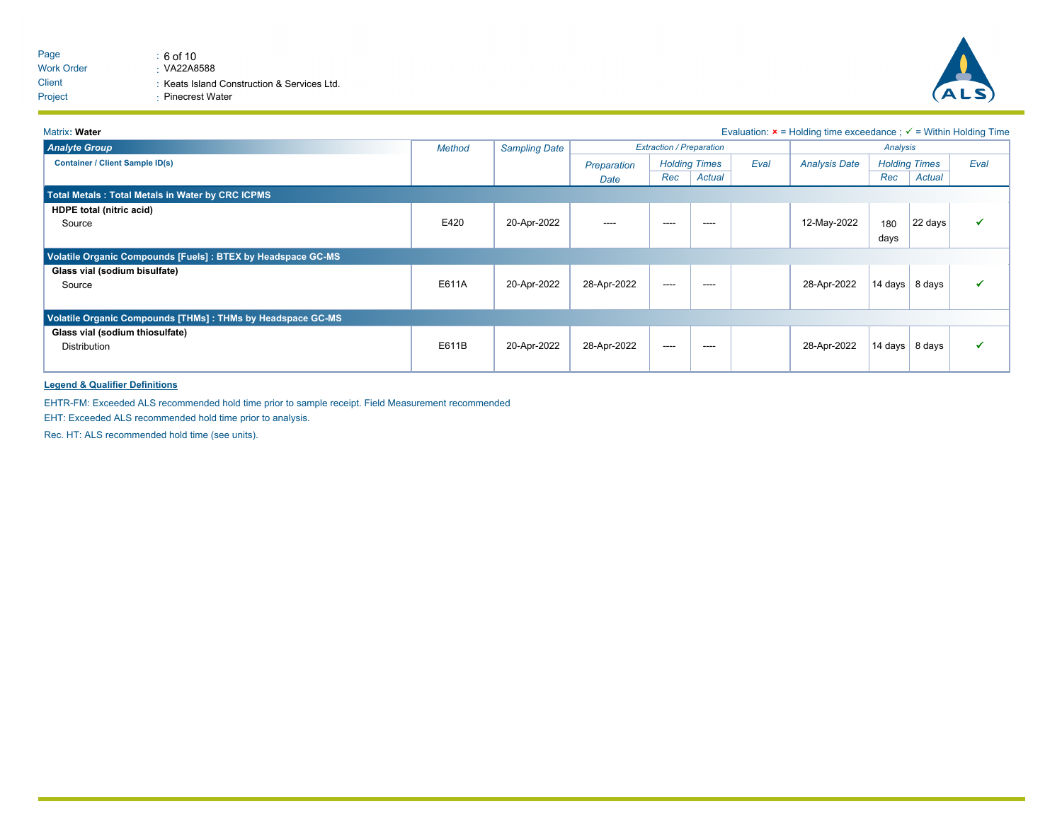

#### Matrix: Water **Evaluation: x** = Holding time exceedance ;  $\checkmark$  = Within Holding Time *Extraction / Preparation Analysis* **Container / Client Sample ID(s)** *Sampling Date Preparation Analysis Date Holding Times Holding Times Date Eval Eval Method Rec Actual Rec Actual Analyte Group* **Total Metals : Total Metals in Water by CRC ICPMS HDPE total (nitric acid)** Source E420 20-Apr-2022 ---- ---- ---- 12-May-2022 180 days  $|22 \text{ days}| \qquad \checkmark$ **Volatile Organic Compounds [Fuels] : BTEX by Headspace GC-MS Glass vial (sodium bisulfate)** Source E611A 20-Apr-2022 28-Apr-2022 ---- ---- 28-Apr-2022 14 days 8 days ü **Volatile Organic Compounds [THMs] : THMs by Headspace GC-MS Glass vial (sodium thiosulfate)** كة Distribution Philosophy State of Active 2000 ---- 2022 28-Apr-2022 28-Apr-2022 ---- 28-Apr-2022 28-Apr-2022 ----

#### **Legend & Qualifier Definitions**

EHTR-FM: Exceeded ALS recommended hold time prior to sample receipt. Field Measurement recommended

EHT: Exceeded ALS recommended hold time prior to analysis.

Rec. HT: ALS recommended hold time (see units).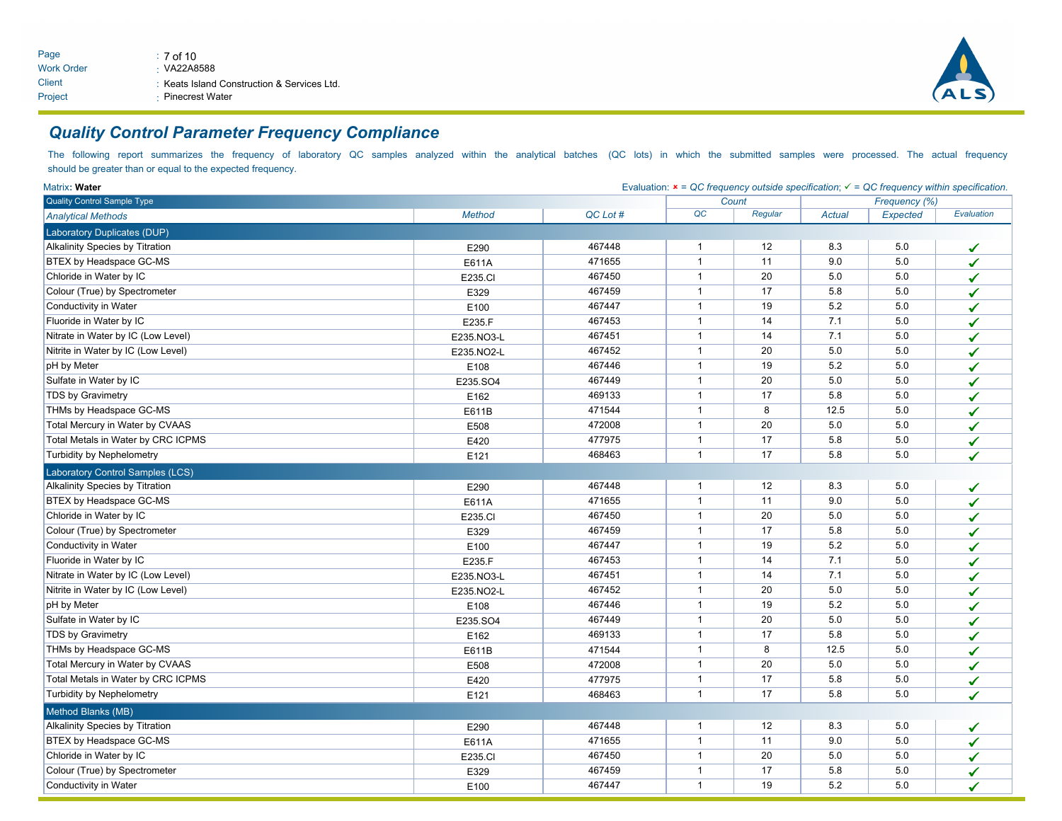

# *Quality Control Parameter Frequency Compliance*

The following report summarizes the frequency of laboratory QC samples analyzed within the analytical batches (QC lots) in which the submitted samples were processed. The actual frequency should be greater than or equal to the expected frequency.

| Matrix: Water                          | Evaluation: $x = QC$ frequency outside specification; $\checkmark = QC$ frequency within specification. |          |              |         |               |          |            |  |
|----------------------------------------|---------------------------------------------------------------------------------------------------------|----------|--------------|---------|---------------|----------|------------|--|
| <b>Quality Control Sample Type</b>     |                                                                                                         | Count    |              |         | Frequency (%) |          |            |  |
| <b>Analytical Methods</b>              | <b>Method</b>                                                                                           | QC Lot # | QC           | Regular | Actual        | Expected | Evaluation |  |
| Laboratory Duplicates (DUP)            |                                                                                                         |          |              |         |               |          |            |  |
| <b>Alkalinity Species by Titration</b> | E290                                                                                                    | 467448   | $\mathbf{1}$ | 12      | 8.3           | 5.0      | ✔          |  |
| BTEX by Headspace GC-MS                | E611A                                                                                                   | 471655   | $\mathbf{1}$ | 11      | 9.0           | 5.0      | ✔          |  |
| Chloride in Water by IC                | E235.CI                                                                                                 | 467450   | $\mathbf{1}$ | 20      | 5.0           | 5.0      | ✔          |  |
| Colour (True) by Spectrometer          | E329                                                                                                    | 467459   | $\mathbf{1}$ | 17      | 5.8           | 5.0      | ✔          |  |
| Conductivity in Water                  | E100                                                                                                    | 467447   | $\mathbf{1}$ | 19      | 5.2           | 5.0      | ✔          |  |
| Fluoride in Water by IC                | E235.F                                                                                                  | 467453   | $\mathbf{1}$ | 14      | 7.1           | 5.0      | ✔          |  |
| Nitrate in Water by IC (Low Level)     | E235.NO3-L                                                                                              | 467451   | $\mathbf{1}$ | 14      | 7.1           | 5.0      | ✔          |  |
| Nitrite in Water by IC (Low Level)     | E235.NO2-L                                                                                              | 467452   | $\mathbf{1}$ | 20      | 5.0           | 5.0      | ✔          |  |
| pH by Meter                            | E108                                                                                                    | 467446   | $\mathbf{1}$ | 19      | 5.2           | $5.0\,$  | ✔          |  |
| Sulfate in Water by IC                 | E235.SO4                                                                                                | 467449   | $\mathbf{1}$ | 20      | 5.0           | 5.0      | ✔          |  |
| TDS by Gravimetry                      | E162                                                                                                    | 469133   | $\mathbf{1}$ | 17      | 5.8           | 5.0      | ✔          |  |
| THMs by Headspace GC-MS                | E611B                                                                                                   | 471544   | $\mathbf{1}$ | 8       | 12.5          | 5.0      | ✔          |  |
| Total Mercury in Water by CVAAS        | E508                                                                                                    | 472008   | $\mathbf{1}$ | 20      | 5.0           | 5.0      | ✔          |  |
| Total Metals in Water by CRC ICPMS     | E420                                                                                                    | 477975   | $\mathbf{1}$ | 17      | 5.8           | 5.0      | ✔          |  |
| Turbidity by Nephelometry              | E121                                                                                                    | 468463   | $\mathbf{1}$ | 17      | 5.8           | 5.0      | ✔          |  |
| Laboratory Control Samples (LCS)       |                                                                                                         |          |              |         |               |          |            |  |
| <b>Alkalinity Species by Titration</b> | E290                                                                                                    | 467448   | $\mathbf{1}$ | 12      | 8.3           | 5.0      | ✓          |  |
| BTEX by Headspace GC-MS                | E611A                                                                                                   | 471655   | $\mathbf{1}$ | 11      | 9.0           | 5.0      | ✔          |  |
| Chloride in Water by IC                | E235.CI                                                                                                 | 467450   | $\mathbf{1}$ | 20      | 5.0           | 5.0      | ✔          |  |
| Colour (True) by Spectrometer          | E329                                                                                                    | 467459   | $\mathbf{1}$ | 17      | 5.8           | 5.0      | ✔          |  |
| Conductivity in Water                  | E100                                                                                                    | 467447   | $\mathbf{1}$ | 19      | 5.2           | 5.0      | ✔          |  |
| Fluoride in Water by IC                | E235.F                                                                                                  | 467453   | $\mathbf{1}$ | 14      | 7.1           | 5.0      | ✔          |  |
| Nitrate in Water by IC (Low Level)     | E235.NO3-L                                                                                              | 467451   | $\mathbf{1}$ | 14      | 7.1           | 5.0      | ✔          |  |
| Nitrite in Water by IC (Low Level)     | E235.NO2-L                                                                                              | 467452   | $\mathbf{1}$ | 20      | 5.0           | 5.0      | ✔          |  |
| pH by Meter                            | E108                                                                                                    | 467446   | $\mathbf{1}$ | 19      | 5.2           | 5.0      | ✔          |  |
| Sulfate in Water by IC                 | E235.SO4                                                                                                | 467449   | $\mathbf{1}$ | 20      | 5.0           | 5.0      | ✔          |  |
| <b>TDS by Gravimetry</b>               | E162                                                                                                    | 469133   | $\mathbf{1}$ | 17      | 5.8           | 5.0      | ✔          |  |
| THMs by Headspace GC-MS                | E611B                                                                                                   | 471544   | $\mathbf{1}$ | 8       | 12.5          | 5.0      | ✔          |  |
| Total Mercury in Water by CVAAS        | E508                                                                                                    | 472008   | $\mathbf{1}$ | 20      | 5.0           | 5.0      | ✔          |  |
| Total Metals in Water by CRC ICPMS     | E420                                                                                                    | 477975   | $\mathbf{1}$ | 17      | 5.8           | 5.0      | ✔          |  |
| <b>Turbidity by Nephelometry</b>       | E121                                                                                                    | 468463   | $\mathbf{1}$ | 17      | 5.8           | 5.0      | ✔          |  |
| Method Blanks (MB)                     |                                                                                                         |          |              |         |               |          |            |  |
| <b>Alkalinity Species by Titration</b> | E290                                                                                                    | 467448   | $\mathbf{1}$ | 12      | 8.3           | 5.0      | ✓          |  |
| BTEX by Headspace GC-MS                | E611A                                                                                                   | 471655   | $\mathbf{1}$ | 11      | 9.0           | 5.0      | ✔          |  |
| Chloride in Water by IC                | E235.CI                                                                                                 | 467450   | $\mathbf{1}$ | 20      | 5.0           | 5.0      | ✓          |  |
| Colour (True) by Spectrometer          | E329                                                                                                    | 467459   | $\mathbf{1}$ | 17      | 5.8           | 5.0      | ✔          |  |
| Conductivity in Water                  | E100                                                                                                    | 467447   | $\mathbf{1}$ | 19      | 5.2           | 5.0      | ✔          |  |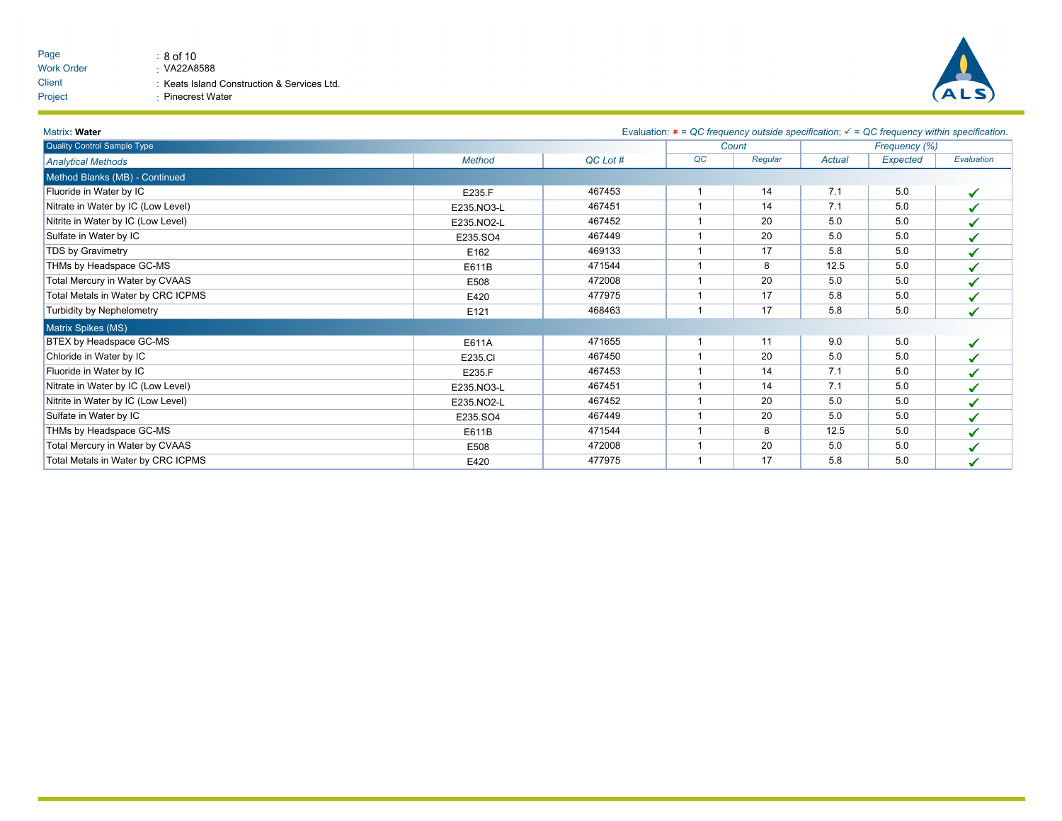| Page              | $\therefore$ 8 of 10                        |
|-------------------|---------------------------------------------|
| <b>Work Order</b> | $\cdot$ VA22A8588                           |
| Client            | : Keats Island Construction & Services Ltd. |
| Project           | ⋅ Pinecrest Water                           |



| Matrix: Water                      |               |          | Evaluation: $x = QC$ frequency outside specification; $\checkmark = QC$ frequency within specification. |         |        |                 |              |  |
|------------------------------------|---------------|----------|---------------------------------------------------------------------------------------------------------|---------|--------|-----------------|--------------|--|
| Quality Control Sample Type        |               |          | Count                                                                                                   |         |        | Frequency (%)   |              |  |
| <b>Analytical Methods</b>          | <b>Method</b> | QC Lot # | QC                                                                                                      | Regular | Actual | <b>Expected</b> | Evaluation   |  |
| Method Blanks (MB) - Continued     |               |          |                                                                                                         |         |        |                 |              |  |
| Fluoride in Water by IC            | E235.F        | 467453   |                                                                                                         | 14      | 7.1    | 5.0             | ✓            |  |
| Nitrate in Water by IC (Low Level) | E235.NO3-L    | 467451   |                                                                                                         | 14      | 7.1    | 5.0             | ✔            |  |
| Nitrite in Water by IC (Low Level) | E235.NO2-L    | 467452   |                                                                                                         | 20      | 5.0    | 5.0             | $\checkmark$ |  |
| Sulfate in Water by IC             | E235.SO4      | 467449   |                                                                                                         | 20      | 5.0    | 5.0             | ✔            |  |
| TDS by Gravimetry                  | E162          | 469133   |                                                                                                         | 17      | 5.8    | 5.0             | ✔            |  |
| THMs by Headspace GC-MS            | E611B         | 471544   |                                                                                                         | 8       | 12.5   | 5.0             | ✔            |  |
| Total Mercury in Water by CVAAS    | E508          | 472008   |                                                                                                         | 20      | 5.0    | 5.0             | ✔            |  |
| Total Metals in Water by CRC ICPMS | E420          | 477975   |                                                                                                         | 17      | 5.8    | 5.0             | ✔            |  |
| Turbidity by Nephelometry          | E121          | 468463   |                                                                                                         | 17      | 5.8    | 5.0             | ✔            |  |
| Matrix Spikes (MS)                 |               |          |                                                                                                         |         |        |                 |              |  |
| BTEX by Headspace GC-MS            | E611A         | 471655   |                                                                                                         | 11      | 9.0    | 5.0             | ✓            |  |
| Chloride in Water by IC            | E235.CI       | 467450   |                                                                                                         | 20      | 5.0    | 5.0             | ✔            |  |
| Fluoride in Water by IC            | E235.F        | 467453   |                                                                                                         | 14      | 7.1    | 5.0             | ✔            |  |
| Nitrate in Water by IC (Low Level) | E235.NO3-L    | 467451   |                                                                                                         | 14      | 7.1    | 5.0             | ✔            |  |
| Nitrite in Water by IC (Low Level) | E235.NO2-L    | 467452   |                                                                                                         | 20      | 5.0    | 5.0             | ✔            |  |
| Sulfate in Water by IC             | E235.SO4      | 467449   |                                                                                                         | 20      | 5.0    | 5.0             | ✔            |  |
| THMs by Headspace GC-MS            | E611B         | 471544   |                                                                                                         | 8       | 12.5   | 5.0             | ✓            |  |
| Total Mercury in Water by CVAAS    | E508          | 472008   |                                                                                                         | 20      | 5.0    | 5.0             | ✔            |  |
| Total Metals in Water by CRC ICPMS | E420          | 477975   |                                                                                                         | 17      | 5.8    | 5.0             | ✓            |  |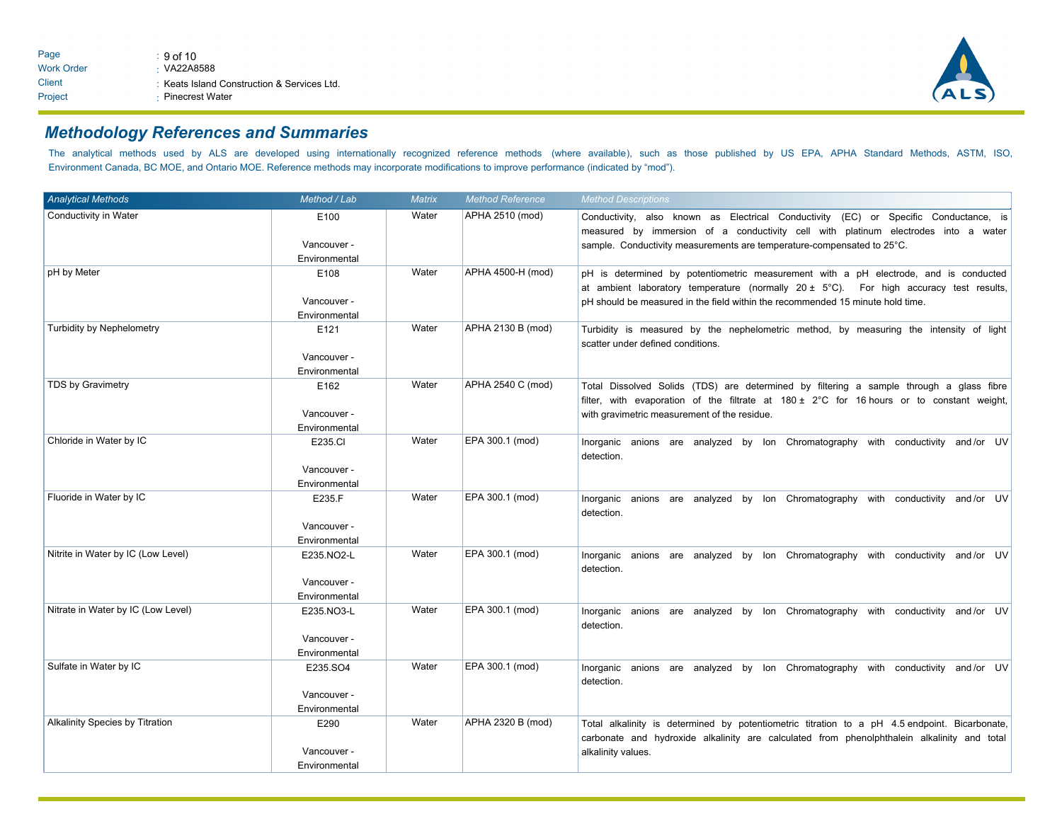

# *Methodology References and Summaries*

The analytical methods used by ALS are developed using internationally recognized reference methods (where available), such as those published by US EPA, APHA Standard Methods, ASTM, ISO, Environment Canada, BC MOE, and Ontario MOE. Reference methods may incorporate modifications to improve performance (indicated by "mod").

| <b>Analytical Methods</b>              | Method / Lab                               | Matrix | <b>Method Reference</b> | <b>Method Descriptions</b>                                                                                                                                                                                                                                                   |  |  |  |  |  |
|----------------------------------------|--------------------------------------------|--------|-------------------------|------------------------------------------------------------------------------------------------------------------------------------------------------------------------------------------------------------------------------------------------------------------------------|--|--|--|--|--|
| Conductivity in Water                  | E100<br>Vancouver -<br>Environmental       | Water  | APHA 2510 (mod)         | Conductivity, also known as Electrical Conductivity (EC) or Specific Conductance, is<br>measured by immersion of a conductivity cell with platinum electrodes into a water<br>sample. Conductivity measurements are temperature-compensated to 25°C.                         |  |  |  |  |  |
| pH by Meter                            | E108<br>Vancouver -<br>Environmental       | Water  | APHA 4500-H (mod)       | pH is determined by potentiometric measurement with a pH electrode, and is conducted<br>at ambient laboratory temperature (normally $20 \pm 5^{\circ}$ C). For high accuracy test results,<br>pH should be measured in the field within the recommended 15 minute hold time. |  |  |  |  |  |
| <b>Turbidity by Nephelometry</b>       | E121<br>Vancouver -<br>Environmental       | Water  | APHA 2130 B (mod)       | Turbidity is measured by the nephelometric method, by measuring the intensity of light<br>scatter under defined conditions.                                                                                                                                                  |  |  |  |  |  |
| TDS by Gravimetry                      | E162<br>Vancouver -<br>Environmental       | Water  | APHA 2540 C (mod)       | Total Dissolved Solids (TDS) are determined by filtering a sample through a glass fibre<br>filter, with evaporation of the filtrate at $180 \pm 2^{\circ}$ C for 16 hours or to constant weight,<br>with gravimetric measurement of the residue.                             |  |  |  |  |  |
| Chloride in Water by IC                | E235.CI<br>Vancouver -<br>Environmental    | Water  | EPA 300.1 (mod)         | Inorganic anions are analyzed by Ion Chromatography with conductivity and/or UV<br>detection.                                                                                                                                                                                |  |  |  |  |  |
| Fluoride in Water by IC                | E235.F<br>Vancouver -<br>Environmental     | Water  | EPA 300.1 (mod)         | Inorganic anions are analyzed by Ion Chromatography with conductivity and/or UV<br>detection.                                                                                                                                                                                |  |  |  |  |  |
| Nitrite in Water by IC (Low Level)     | E235.NO2-L<br>Vancouver -<br>Environmental | Water  | EPA 300.1 (mod)         | Inorganic anions are analyzed by Ion Chromatography with conductivity and/or UV<br>detection.                                                                                                                                                                                |  |  |  |  |  |
| Nitrate in Water by IC (Low Level)     | E235.NO3-L<br>Vancouver -<br>Environmental | Water  | EPA 300.1 (mod)         | Inorganic anions are analyzed by Ion Chromatography with conductivity and/or UV<br>detection.                                                                                                                                                                                |  |  |  |  |  |
| Sulfate in Water by IC                 | E235.SO4<br>Vancouver -<br>Environmental   | Water  | EPA 300.1 (mod)         | Inorganic anions are analyzed by Ion Chromatography with conductivity and/or UV<br>detection.                                                                                                                                                                                |  |  |  |  |  |
| <b>Alkalinity Species by Titration</b> | E290<br>Vancouver -<br>Environmental       | Water  | APHA 2320 B (mod)       | Total alkalinity is determined by potentiometric titration to a pH 4.5 endpoint. Bicarbonate,<br>carbonate and hydroxide alkalinity are calculated from phenolphthalein alkalinity and total<br>alkalinity values.                                                           |  |  |  |  |  |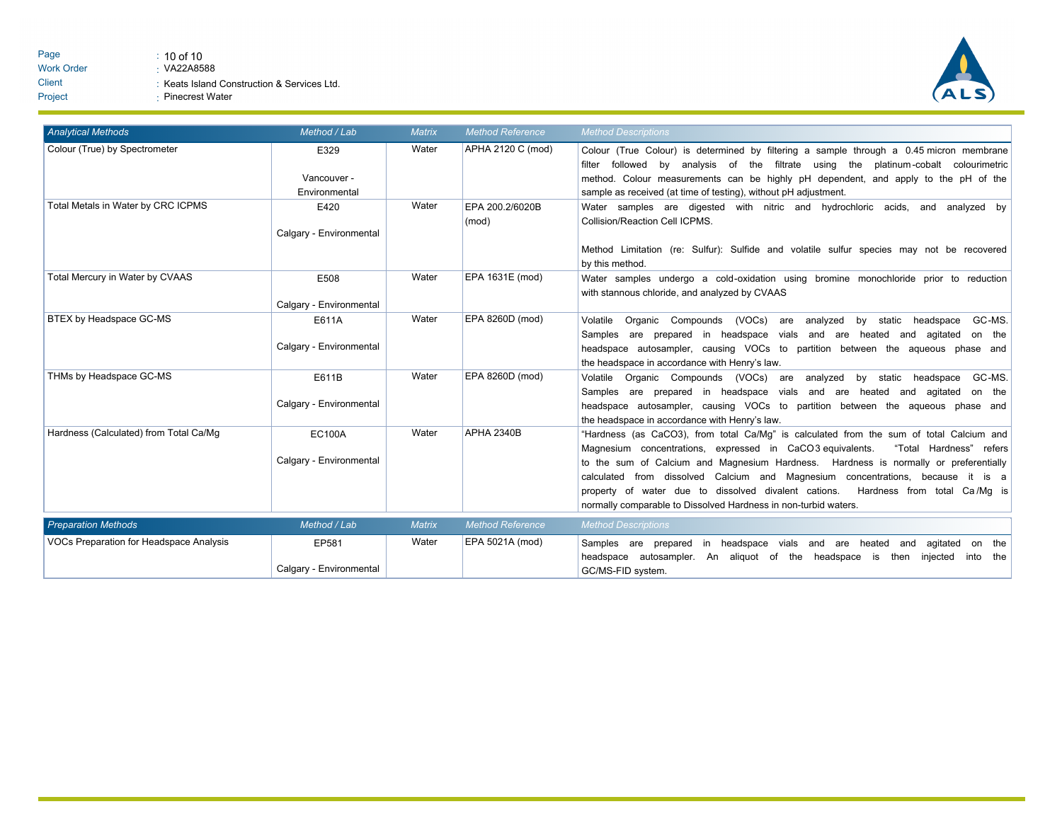

| <b>Analytical Methods</b>               | Method / Lab                             | <b>Matrix</b> | <b>Method Reference</b>  | <b>Method Descriptions</b>                                                                                                                                                                                                                                                                                                                                                                                                                                                                                            |
|-----------------------------------------|------------------------------------------|---------------|--------------------------|-----------------------------------------------------------------------------------------------------------------------------------------------------------------------------------------------------------------------------------------------------------------------------------------------------------------------------------------------------------------------------------------------------------------------------------------------------------------------------------------------------------------------|
| Colour (True) by Spectrometer           | E329<br>Vancouver -<br>Environmental     | Water         | APHA 2120 C (mod)        | Colour (True Colour) is determined by filtering a sample through a 0.45 micron membrane<br>followed<br>bv<br>analysis of the filtrate using the platinum-cobalt colourimetric<br>filter<br>method. Colour measurements can be highly pH dependent, and apply to the pH of the<br>sample as received (at time of testing), without pH adjustment.                                                                                                                                                                      |
| Total Metals in Water by CRC ICPMS      | E420<br>Calgary - Environmental          | Water         | EPA 200.2/6020B<br>(mod) | Water samples are digested with nitric and hydrochloric acids, and analyzed by<br>Collision/Reaction Cell ICPMS.<br>Method Limitation (re: Sulfur): Sulfide and volatile sulfur species may not be recovered<br>by this method.                                                                                                                                                                                                                                                                                       |
| Total Mercury in Water by CVAAS         | E508<br>Calgary - Environmental          | Water         | EPA 1631E (mod)          | Water samples undergo a cold-oxidation using bromine monochloride prior to reduction<br>with stannous chloride, and analyzed by CVAAS                                                                                                                                                                                                                                                                                                                                                                                 |
| BTEX by Headspace GC-MS                 | E611A<br>Calgary - Environmental         | Water         | EPA 8260D (mod)          | Organic Compounds (VOCs)<br>analyzed<br>static headspace<br>GC-MS.<br>Volatile<br>are<br>by<br>Samples are prepared in headspace vials and are heated and agitated<br>on the<br>headspace autosampler, causing VOCs to partition between the aqueous phase and<br>the headspace in accordance with Henry's law.                                                                                                                                                                                                       |
| THMs by Headspace GC-MS                 | E611B<br>Calgary - Environmental         | Water         | EPA 8260D (mod)          | Organic Compounds (VOCs) are analyzed<br>by static headspace<br>GC-MS.<br>Volatile<br>Samples are prepared in headspace vials and are heated and agitated<br>on the<br>headspace autosampler, causing VOCs to partition between the aqueous phase and<br>the headspace in accordance with Henry's law.                                                                                                                                                                                                                |
| Hardness (Calculated) from Total Ca/Mg  | <b>EC100A</b><br>Calgary - Environmental | Water         | <b>APHA 2340B</b>        | "Hardness (as CaCO3), from total Ca/Mq" is calculated from the sum of total Calcium and<br>"Total Hardness" refers<br>Magnesium concentrations, expressed in CaCO3 equivalents.<br>to the sum of Calcium and Magnesium Hardness. Hardness is normally or preferentially<br>calculated from dissolved Calcium and Magnesium concentrations, because it is a<br>property of water due to dissolved divalent cations.<br>Hardness from total Ca/Mq is<br>normally comparable to Dissolved Hardness in non-turbid waters. |
| <b>Preparation Methods</b>              | Method / Lab                             | <b>Matrix</b> | <b>Method Reference</b>  | <b>Method Descriptions</b>                                                                                                                                                                                                                                                                                                                                                                                                                                                                                            |
| VOCs Preparation for Headspace Analysis | EP581<br>Calgary - Environmental         | Water         | EPA 5021A (mod)          | Samples are prepared in headspace vials and are heated and<br>agitated on the<br>headspace autosampler. An aliquot of the headspace is then injected<br>into the<br>GC/MS-FID system.                                                                                                                                                                                                                                                                                                                                 |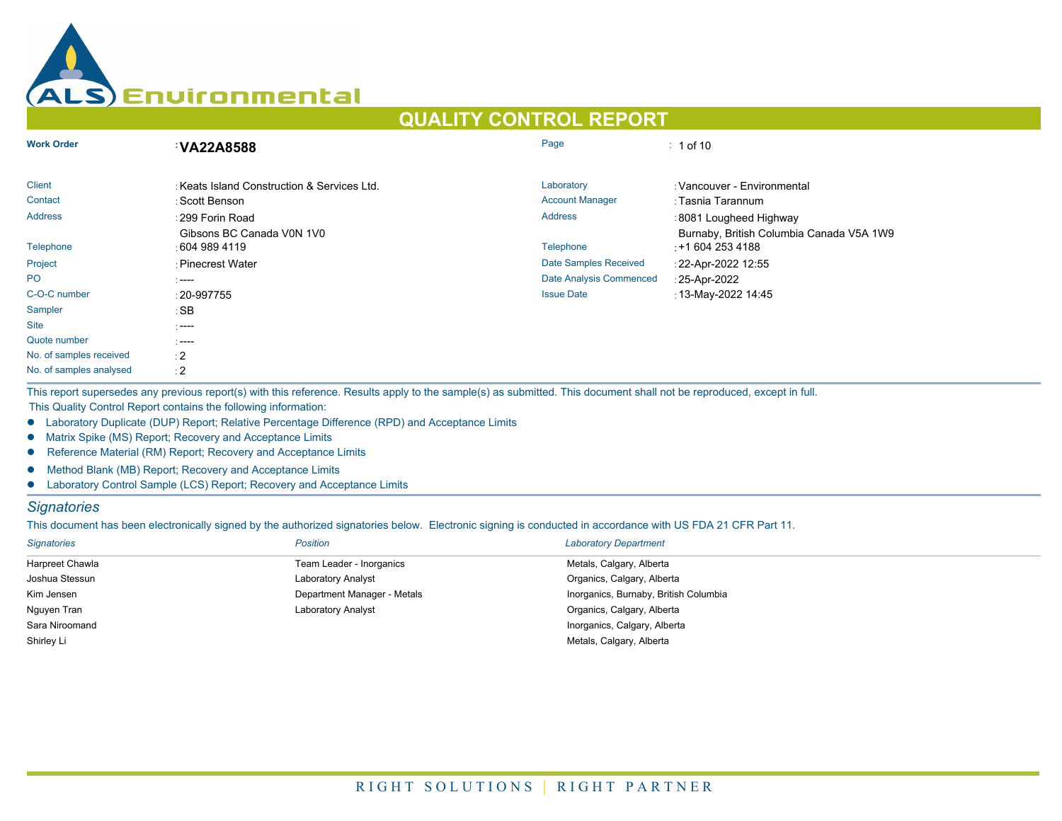

# **QUALITY CONTROL REPORT**

| <b>Work Order</b>       | <b>VA22A8588</b>                           | Page                           | $: 1$ of 10                                                  |
|-------------------------|--------------------------------------------|--------------------------------|--------------------------------------------------------------|
| <b>Client</b>           | Keats Island Construction & Services Ltd.  | Laboratory                     | · Vancouver - Environmental                                  |
| Contact                 | : Scott Benson                             | <b>Account Manager</b>         | : Tasnia Tarannum                                            |
| <b>Address</b>          | : 299 Forin Road                           | <b>Address</b>                 | :8081 Lougheed Highway                                       |
| Telephone               | Gibsons BC Canada V0N 1V0<br>∶604 989 4119 | <b>Telephone</b>               | Burnaby, British Columbia Canada V5A 1W9<br>$: +16042534188$ |
| Project                 | : Pinecrest Water                          | <b>Date Samples Received</b>   | : 22-Apr-2022 12:55                                          |
| <b>PO</b>               | $\sim$ ----                                | <b>Date Analysis Commenced</b> | : 25-Apr-2022                                                |
| C-O-C number            | $: 20 - 997755$                            | <b>Issue Date</b>              | : 13-May-2022 14:45                                          |
| Sampler                 | :SB                                        |                                |                                                              |
| <b>Site</b>             | $\sim$ ----                                |                                |                                                              |
| Quote number            | $\sim$ ----                                |                                |                                                              |
| No. of samples received | $\div 2$                                   |                                |                                                              |
| No. of samples analysed | $\div 2$                                   |                                |                                                              |

This report supersedes any previous report(s) with this reference. Results apply to the sample(s) as submitted. This document shall not be reproduced, except in full. This Quality Control Report contains the following information:

- **.** Laboratory Duplicate (DUP) Report; Relative Percentage Difference (RPD) and Acceptance Limits
- **•** Matrix Spike (MS) Report; Recovery and Acceptance Limits
- **•** Reference Material (RM) Report; Recovery and Acceptance Limits
- **•** Method Blank (MB) Report; Recovery and Acceptance Limits
- Laboratory Control Sample (LCS) Report; Recovery and Acceptance Limits

## *Signatories*

This document has been electronically signed by the authorized signatories below. Electronic signing is conducted in accordance with US FDA 21 CFR Part 11.

| <b>Signatories</b> | <b>Position</b>             | <b>Laboratory Department</b>          |
|--------------------|-----------------------------|---------------------------------------|
| Harpreet Chawla    | Team Leader - Inorganics    | Metals, Calgary, Alberta              |
| Joshua Stessun     | <b>Laboratory Analyst</b>   | Organics, Calgary, Alberta            |
| Kim Jensen         | Department Manager - Metals | Inorganics, Burnaby, British Columbia |
| Nguyen Tran        | <b>Laboratory Analyst</b>   | Organics, Calgary, Alberta            |
| Sara Niroomand     |                             | Inorganics, Calgary, Alberta          |
| Shirley Li         |                             | Metals, Calgary, Alberta              |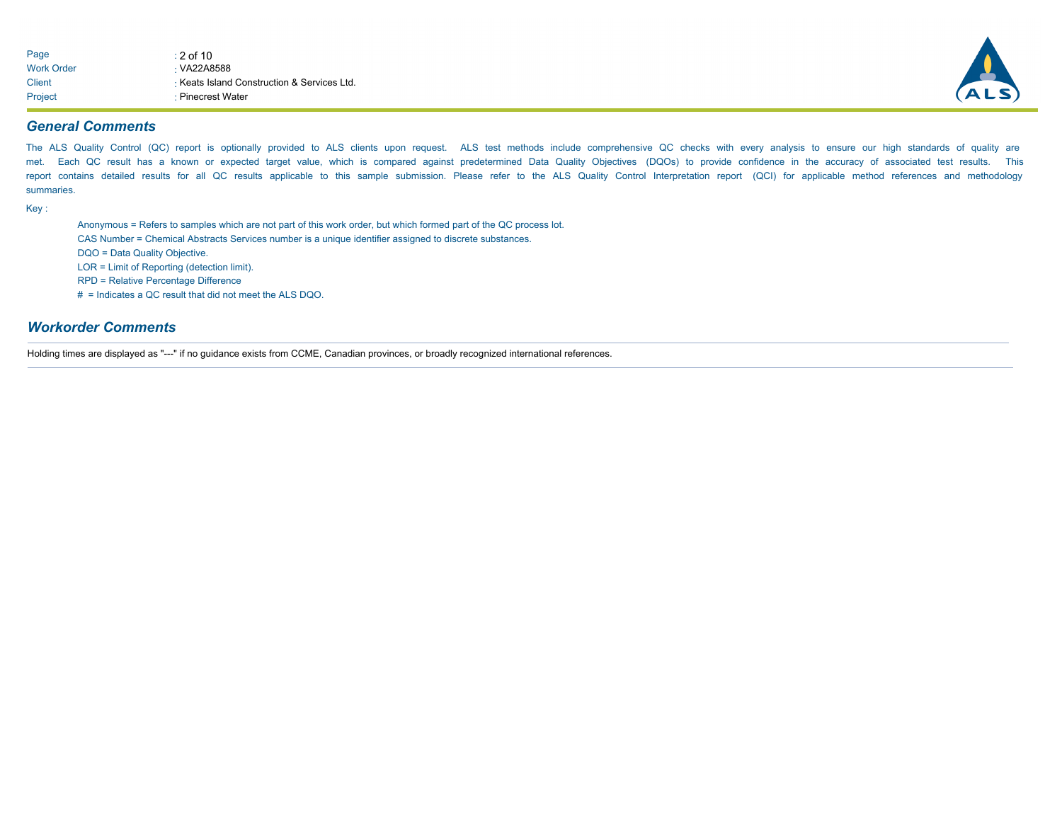| Page              | $: 2$ of 10                               |
|-------------------|-------------------------------------------|
| <b>Work Order</b> | $\cdot$ VA22A8588                         |
| Client            | Keats Island Construction & Services Ltd. |
| Project           | ⋅ Pinecrest Water                         |



## *General Comments*

The ALS Quality Control (QC) report is optionally provided to ALS clients upon request. ALS test methods include comprehensive QC checks with every analysis to ensure our high standards of quality are met. Each QC result has a known or expected target value, which is compared against predetermined Data Quality Objectives (DQOs) to provide confidence in the accuracy of associated test results. This report contains detailed results for all QC results applicable to this sample submission. Please refer to the ALS Quality Control Interpretation report (QCI) for applicable method references and methodology summaries.

Key :

Anonymous = Refers to samples which are not part of this work order, but which formed part of the QC process lot.

CAS Number = Chemical Abstracts Services number is a unique identifier assigned to discrete substances.

DQO = Data Quality Objective.

LOR = Limit of Reporting (detection limit).

RPD = Relative Percentage Difference

# = Indicates a QC result that did not meet the ALS DQO.

#### *Workorder Comments*

Holding times are displayed as "---" if no guidance exists from CCME, Canadian provinces, or broadly recognized international references.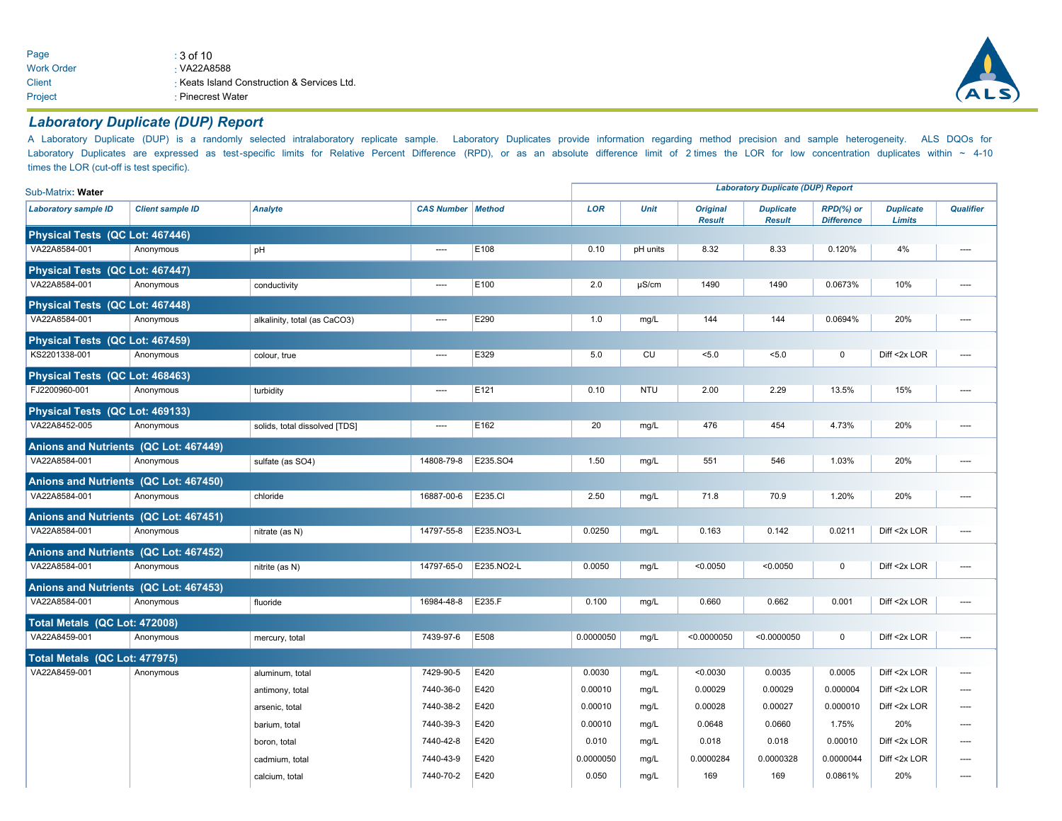Page  $\qquad \qquad : 3 \text{ of } 10$ Work Order Client VA22A8588 Keats Island Construction & Services Ltd. Project : Pinecrest Water



## *Laboratory Duplicate (DUP) Report*

A Laboratory Duplicate (DUP) is a randomly selected intralaboratory replicate sample. Laboratory Duplicates provide information regarding method precision and sample heterogeneity. ALS DQOs for Laboratory Duplicates are expressed as test-specific limits for Relative Percent Difference (RPD), or as an absolute difference limit of 2 times the LOR for low concentration duplicates within ~ 4-10 times the LOR (cut-off is test specific).

| Sub-Matrix: Water                     |                         |                               |                            |                  | <b>Laboratory Duplicate (DUP) Report</b> |             |                                  |                                   | <b>Duplicate</b><br><b>Limits</b><br>4%<br>10%<br>20%<br>0<br>Diff <2x LOR<br>15%<br>20%<br>20%<br>20%<br>Diff <2x LOR<br>0<br>Diff <2x LOR<br>Diff <2x LOR |              |                  |
|---------------------------------------|-------------------------|-------------------------------|----------------------------|------------------|------------------------------------------|-------------|----------------------------------|-----------------------------------|-------------------------------------------------------------------------------------------------------------------------------------------------------------|--------------|------------------|
| <b>Laboratory sample ID</b>           | <b>Client sample ID</b> | <b>Analyte</b>                | <b>CAS Number   Method</b> |                  | <b>LOR</b>                               | <b>Unit</b> | <b>Original</b><br><b>Result</b> | <b>Duplicate</b><br><b>Result</b> | RPD(%) or<br><b>Difference</b>                                                                                                                              |              | <b>Qualifier</b> |
| Physical Tests (QC Lot: 467446)       |                         |                               |                            |                  |                                          |             |                                  |                                   |                                                                                                                                                             |              |                  |
| VA22A8584-001                         | Anonymous               | pH                            | $\overline{\phantom{a}}$   | E108             | 0.10                                     | pH units    | 8.32                             | 8.33                              | 0.120%                                                                                                                                                      |              | ----             |
| Physical Tests (QC Lot: 467447)       |                         |                               |                            |                  |                                          |             |                                  |                                   |                                                                                                                                                             |              |                  |
| VA22A8584-001                         | Anonymous               | conductivity                  | $\sim$                     | E <sub>100</sub> | 2.0                                      | $\mu$ S/cm  | 1490                             | 1490                              | 0.0673%                                                                                                                                                     |              | ----             |
| Physical Tests (QC Lot: 467448)       |                         |                               |                            |                  |                                          |             |                                  |                                   |                                                                                                                                                             |              |                  |
| VA22A8584-001                         | Anonymous               | alkalinity, total (as CaCO3)  | $\overline{\phantom{a}}$   | E290             | 1.0                                      | mg/L        | 144                              | 144                               | 0.0694%                                                                                                                                                     |              | ----             |
| Physical Tests (QC Lot: 467459)       |                         |                               |                            |                  |                                          |             |                                  |                                   |                                                                                                                                                             |              |                  |
| KS2201338-001                         | Anonymous               | colour, true                  | $\overline{\phantom{a}}$   | E329             | 5.0                                      | CU          | 5.0                              | < 5.0                             |                                                                                                                                                             |              | ----             |
| Physical Tests (QC Lot: 468463)       |                         |                               |                            |                  |                                          |             |                                  |                                   |                                                                                                                                                             |              |                  |
| FJ2200960-001                         | Anonymous               | turbidity                     | ----                       | E <sub>121</sub> | 0.10                                     | <b>NTU</b>  | 2.00                             | 2.29                              | 13.5%                                                                                                                                                       |              |                  |
| Physical Tests (QC Lot: 469133)       |                         |                               |                            |                  |                                          |             |                                  |                                   |                                                                                                                                                             |              |                  |
| VA22A8452-005                         | Anonymous               | solids, total dissolved [TDS] | $\overline{\phantom{a}}$   | E <sub>162</sub> | 20                                       | mg/L        | 476                              | 454                               | 4.73%                                                                                                                                                       |              | ----             |
| Anions and Nutrients (QC Lot: 467449) |                         |                               |                            |                  |                                          |             |                                  |                                   |                                                                                                                                                             |              |                  |
| VA22A8584-001                         | Anonymous               | sulfate (as SO4)              | 14808-79-8                 | E235.SO4         | 1.50                                     | mg/L        | 551                              | 546                               | 1.03%                                                                                                                                                       |              | ----             |
| Anions and Nutrients (QC Lot: 467450) |                         |                               |                            |                  |                                          |             |                                  |                                   |                                                                                                                                                             |              |                  |
| VA22A8584-001                         | Anonymous               | chloride                      | 16887-00-6                 | E235.CI          | 2.50                                     | mg/L        | 71.8                             | 70.9                              | 1.20%                                                                                                                                                       |              | ----             |
| Anions and Nutrients (QC Lot: 467451) |                         |                               |                            |                  |                                          |             |                                  |                                   |                                                                                                                                                             |              |                  |
| VA22A8584-001                         | Anonymous               | nitrate (as N)                | 14797-55-8                 | E235.NO3-L       | 0.0250                                   | mg/L        | 0.163                            | 0.142                             | 0.0211                                                                                                                                                      |              | ----             |
| Anions and Nutrients (QC Lot: 467452) |                         |                               |                            |                  |                                          |             |                                  |                                   |                                                                                                                                                             |              |                  |
| VA22A8584-001                         | Anonymous               | nitrite (as N)                | 14797-65-0                 | E235.NO2-L       | 0.0050                                   | mg/L        | < 0.0050                         | < 0.0050                          |                                                                                                                                                             |              | ----             |
| Anions and Nutrients (QC Lot: 467453) |                         |                               |                            |                  |                                          |             |                                  |                                   |                                                                                                                                                             |              |                  |
| VA22A8584-001                         | Anonymous               | fluoride                      | 16984-48-8                 | E235.F           | 0.100                                    | mg/L        | 0.660                            | 0.662                             | 0.001                                                                                                                                                       |              | ----             |
| Total Metals (QC Lot: 472008)         |                         |                               |                            |                  |                                          |             |                                  |                                   |                                                                                                                                                             |              |                  |
| VA22A8459-001                         | Anonymous               | mercury, total                | 7439-97-6                  | E508             | 0.0000050                                | mg/L        | < 0.0000050                      | < 0.0000050                       | $\mathbf 0$                                                                                                                                                 | Diff <2x LOR | ----             |
| Total Metals (QC Lot: 477975)         |                         |                               |                            |                  |                                          |             |                                  |                                   |                                                                                                                                                             |              |                  |
| VA22A8459-001                         | Anonymous               | aluminum, total               | 7429-90-5                  | E420             | 0.0030                                   | mg/L        | < 0.0030                         | 0.0035                            | 0.0005                                                                                                                                                      | Diff <2x LOR | ----             |
|                                       |                         | antimony, total               | 7440-36-0                  | E420             | 0.00010                                  | mg/L        | 0.00029                          | 0.00029                           | 0.000004                                                                                                                                                    | Diff <2x LOR |                  |
|                                       |                         | arsenic, total                | 7440-38-2                  | E420             | 0.00010                                  | mg/L        | 0.00028                          | 0.00027                           | 0.000010                                                                                                                                                    | Diff <2x LOR |                  |
|                                       |                         | barium, total                 | 7440-39-3                  | E420             | 0.00010                                  | mg/L        | 0.0648                           | 0.0660                            | 1.75%                                                                                                                                                       | 20%          |                  |
|                                       |                         | boron, total                  | 7440-42-8                  | E420             | 0.010                                    | mg/L        | 0.018                            | 0.018                             | 0.00010                                                                                                                                                     | Diff <2x LOR | ----             |
|                                       |                         | cadmium, total                | 7440-43-9                  | E420             | 0.0000050                                | mg/L        | 0.0000284                        | 0.0000328                         | 0.0000044                                                                                                                                                   | Diff <2x LOR |                  |
|                                       |                         | calcium, total                | 7440-70-2                  | E420             | 0.050                                    | mg/L        | 169                              | 169                               | 0.0861%                                                                                                                                                     | 20%          | ----             |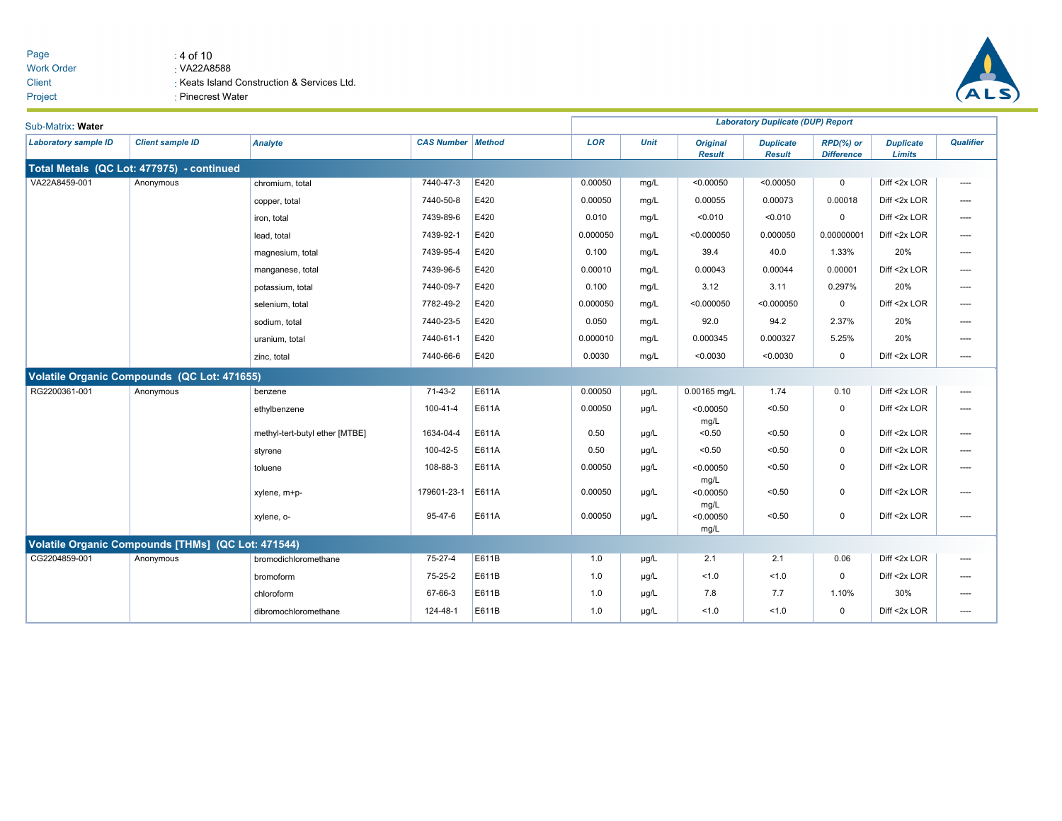#### Page  $\qquad \qquad : 4 \text{ of } 10$ Work Order **Client** VA22A8588 Keats Island Construction & Services Ltd. Project **: Pinecrest Water**



| Sub-Matrix: Water           |                                                    |                                |                          |       |            |             |                                  | <b>Laboratory Duplicate (DUP) Report</b> |                                   |                                   |                  |
|-----------------------------|----------------------------------------------------|--------------------------------|--------------------------|-------|------------|-------------|----------------------------------|------------------------------------------|-----------------------------------|-----------------------------------|------------------|
| <b>Laboratory sample ID</b> | <b>Client sample ID</b>                            | <b>Analyte</b>                 | <b>CAS Number Method</b> |       | <b>LOR</b> | <b>Unit</b> | <b>Original</b><br><b>Result</b> | <b>Duplicate</b><br><b>Result</b>        | $RPD(\%)$ or<br><b>Difference</b> | <b>Duplicate</b><br><b>Limits</b> | <b>Qualifier</b> |
|                             | Total Metals (QC Lot: 477975) - continued          |                                |                          |       |            |             |                                  |                                          |                                   |                                   |                  |
| VA22A8459-001               | Anonymous                                          | chromium, total                | 7440-47-3                | E420  | 0.00050    | mg/L        | < 0.00050                        | < 0.00050                                | $\mathbf 0$                       | Diff <2x LOR                      | ----             |
|                             |                                                    | copper, total                  | 7440-50-8                | E420  | 0.00050    | mg/L        | 0.00055                          | 0.00073                                  | 0.00018                           | Diff <2x LOR                      | $---$            |
|                             |                                                    | iron, total                    | 7439-89-6                | E420  | 0.010      | mg/L        | < 0.010                          | < 0.010                                  | $\mathbf 0$                       | Diff <2x LOR                      | ----             |
|                             |                                                    | lead, total                    | 7439-92-1                | E420  | 0.000050   | mg/L        | < 0.000050                       | 0.000050                                 | 0.00000001                        | Diff <2x LOR                      | ----             |
|                             |                                                    | magnesium, total               | 7439-95-4                | E420  | 0.100      | mg/L        | 39.4                             | 40.0                                     | 1.33%                             | 20%                               | ----             |
|                             |                                                    | manganese, total               | 7439-96-5                | E420  | 0.00010    | mg/L        | 0.00043                          | 0.00044                                  | 0.00001                           | Diff <2x LOR                      | ----             |
|                             |                                                    | potassium, total               | 7440-09-7                | E420  | 0.100      | mg/L        | 3.12                             | 3.11                                     | 0.297%                            | 20%                               | ----             |
|                             |                                                    | selenium, total                | 7782-49-2                | E420  | 0.000050   | mg/L        | < 0.000050                       | < 0.000050                               | $\mathbf 0$                       | Diff <2x LOR                      | ----             |
|                             |                                                    | sodium, total                  | 7440-23-5                | E420  | 0.050      | mg/L        | 92.0                             | 94.2                                     | 2.37%                             | 20%                               | ----             |
|                             |                                                    | uranium, total                 | 7440-61-1                | E420  | 0.000010   | mg/L        | 0.000345                         | 0.000327                                 | 5.25%                             | 20%                               | $---$            |
|                             |                                                    | zinc, total                    | 7440-66-6                | E420  | 0.0030     | mg/L        | < 0.0030                         | < 0.0030                                 | $\mathsf 0$                       | Diff <2x LOR                      | $\cdots$         |
|                             | <b>Volatile Organic Compounds (QC Lot: 471655)</b> |                                |                          |       |            |             |                                  |                                          |                                   |                                   |                  |
| RG2200361-001               | Anonymous                                          | benzene                        | 71-43-2                  | E611A | 0.00050    | µg/L        | 0.00165 mg/L                     | 1.74                                     | 0.10                              | Diff <2x LOR                      | $\sim$           |
|                             |                                                    | ethylbenzene                   | 100-41-4                 | E611A | 0.00050    | µg/L        | < 0.00050<br>mg/L                | < 0.50                                   | $\mathbf 0$                       | Diff <2x LOR                      | ----             |
|                             |                                                    | methyl-tert-butyl ether [MTBE] | 1634-04-4                | E611A | 0.50       | µg/L        | < 0.50                           | < 0.50                                   | $\mathsf 0$                       | Diff <2x LOR                      | ----             |
|                             |                                                    | styrene                        | 100-42-5                 | E611A | 0.50       | µg/L        | < 0.50                           | < 0.50                                   | $\mathbf 0$                       | Diff <2x LOR                      | ----             |
|                             |                                                    | toluene                        | 108-88-3                 | E611A | 0.00050    | µg/L        | < 0.00050<br>mg/L                | < 0.50                                   | $\mathbf 0$                       | Diff <2x LOR                      | ----             |
|                             |                                                    | xylene, m+p-                   | 179601-23-1              | E611A | 0.00050    | µg/L        | < 0.00050<br>mg/L                | < 0.50                                   | $\mathsf 0$                       | Diff <2x LOR                      | ----             |
|                             |                                                    | xylene, o-                     | 95-47-6                  | E611A | 0.00050    | µg/L        | < 0.00050<br>mg/L                | < 0.50                                   | $\mathsf 0$                       | Diff <2x LOR                      | ----             |
|                             | Volatile Organic Compounds [THMs] (QC Lot: 471544) |                                |                          |       |            |             |                                  |                                          |                                   |                                   |                  |
| CG2204859-001               | Anonymous                                          | bromodichloromethane           | 75-27-4                  | E611B | 1.0        | µg/L        | 2.1                              | 2.1                                      | 0.06                              | Diff <2x LOR                      | ----             |
|                             |                                                    | bromoform                      | 75-25-2                  | E611B | 1.0        | µg/L        | 1.0                              | 1.0                                      | $\mathbf 0$                       | Diff <2x LOR                      | ----             |
|                             |                                                    | chloroform                     | 67-66-3                  | E611B | 1.0        | µg/L        | 7.8                              | 7.7                                      | 1.10%                             | 30%                               | $---$            |
|                             |                                                    | dibromochloromethane           | 124-48-1                 | E611B | 1.0        | µg/L        | 1.0                              | 1.0                                      | $\mathbf 0$                       | Diff <2x LOR                      | $\cdots$         |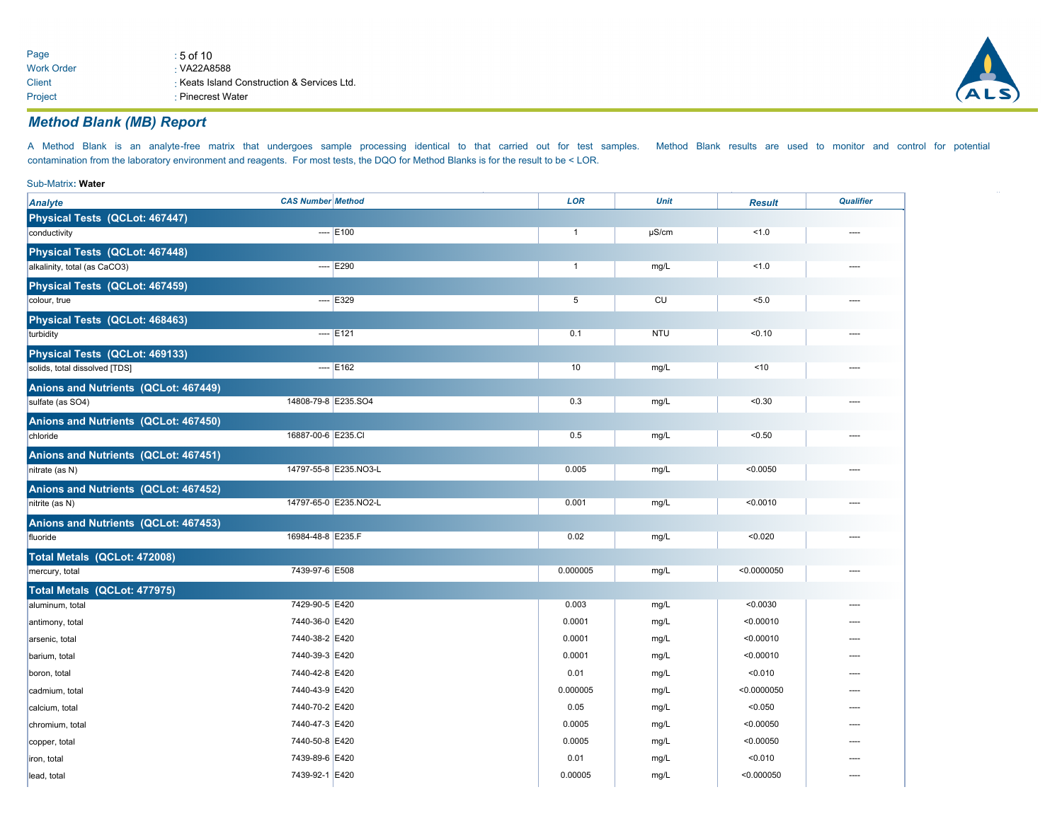| Page              | $:5$ of 10                                  |
|-------------------|---------------------------------------------|
| <b>Work Order</b> | $\cdot$ VA22A8588                           |
| Client            | ⋅ Keats Island Construction & Services Ltd. |
| Project           | ⋅ Pinecrest Water                           |



## *Method Blank (MB) Report*

A Method Blank is an analyte-free matrix that undergoes sample processing identical to that carried out for test samples. Method Blank results are used to monitor and control for potential contamination from the laboratory environment and reagents. For most tests, the DQO for Method Blanks is for the result to be < LOR.

| Sub-Matrix: Water                    |                          |                       |                |             |               |                  |
|--------------------------------------|--------------------------|-----------------------|----------------|-------------|---------------|------------------|
| <b>Analyte</b>                       | <b>CAS Number Method</b> |                       | <b>LOR</b>     | <b>Unit</b> | <b>Result</b> | <b>Qualifier</b> |
| Physical Tests (QCLot: 467447)       |                          |                       |                |             |               |                  |
| conductivity                         |                          | $---$ E100            | $\overline{1}$ | $\mu$ S/cm  | 1.0           |                  |
| Physical Tests (QCLot: 467448)       |                          |                       |                |             |               |                  |
| alkalinity, total (as CaCO3)         |                          | $--$ E290             | $\overline{1}$ | mg/L        | 1.0           |                  |
| Physical Tests (QCLot: 467459)       |                          |                       |                |             |               |                  |
| colour, true                         |                          | $-$ - $E329$          | 5              | CU          | 5.0           |                  |
| Physical Tests (QCLot: 468463)       |                          |                       |                |             |               |                  |
| turbidity                            |                          | $- -$ E121            | 0.1            | <b>NTU</b>  | < 0.10        |                  |
| Physical Tests (QCLot: 469133)       |                          |                       |                |             |               |                  |
| solids, total dissolved [TDS]        |                          | $- -$ E162            | 10             | mg/L        | ~10           |                  |
| Anions and Nutrients (QCLot: 467449) |                          |                       |                |             |               |                  |
| sulfate (as SO4)                     | 14808-79-8 E235.SO4      |                       | 0.3            | mg/L        | < 0.30        |                  |
| Anions and Nutrients (QCLot: 467450) |                          |                       |                |             |               |                  |
| chloride                             | 16887-00-6 E235.CI       |                       | 0.5            | mg/L        | < 0.50        |                  |
| Anions and Nutrients (QCLot: 467451) |                          |                       |                |             |               |                  |
| nitrate (as N)                       |                          | 14797-55-8 E235.NO3-L | 0.005          | mg/L        | < 0.0050      | ----             |
| Anions and Nutrients (QCLot: 467452) |                          |                       |                |             |               |                  |
| nitrite (as N)                       |                          | 14797-65-0 E235.NO2-L | 0.001          | mg/L        | < 0.0010      |                  |
| Anions and Nutrients (QCLot: 467453) |                          |                       |                |             |               |                  |
| fluoride                             | 16984-48-8 E235.F        |                       | 0.02           | mg/L        | < 0.020       |                  |
| Total Metals (QCLot: 472008)         |                          |                       |                |             |               |                  |
| mercury, total                       | 7439-97-6 E508           |                       | 0.000005       | mg/L        | < 0.0000050   | ----             |
| Total Metals (QCLot: 477975)         |                          |                       |                |             |               |                  |
| aluminum, total                      | 7429-90-5 E420           |                       | 0.003          | mg/L        | < 0.0030      |                  |
| antimony, total                      | 7440-36-0 E420           |                       | 0.0001         | mg/L        | < 0.00010     |                  |
| arsenic, total                       | 7440-38-2 E420           |                       | 0.0001         | mg/L        | < 0.00010     |                  |
| barium, total                        | 7440-39-3 E420           |                       | 0.0001         | mg/L        | < 0.00010     |                  |
| boron, total                         | 7440-42-8 E420           |                       | 0.01           | mg/L        | < 0.010       |                  |
| cadmium, total                       | 7440-43-9 E420           |                       | 0.000005       | mg/L        | < 0.0000050   |                  |
| calcium, total                       | 7440-70-2 E420           |                       | 0.05           | mg/L        | < 0.050       |                  |
| chromium, total                      | 7440-47-3 E420           |                       | 0.0005         | mg/L        | < 0.00050     |                  |
| copper, total                        | 7440-50-8 E420           |                       | 0.0005         | mg/L        | < 0.00050     |                  |
| iron, total                          | 7439-89-6 E420           |                       | 0.01           | mg/L        | < 0.010       | ----             |
| lead, total                          | 7439-92-1 E420           |                       | 0.00005        | mg/L        | < 0.000050    | ----             |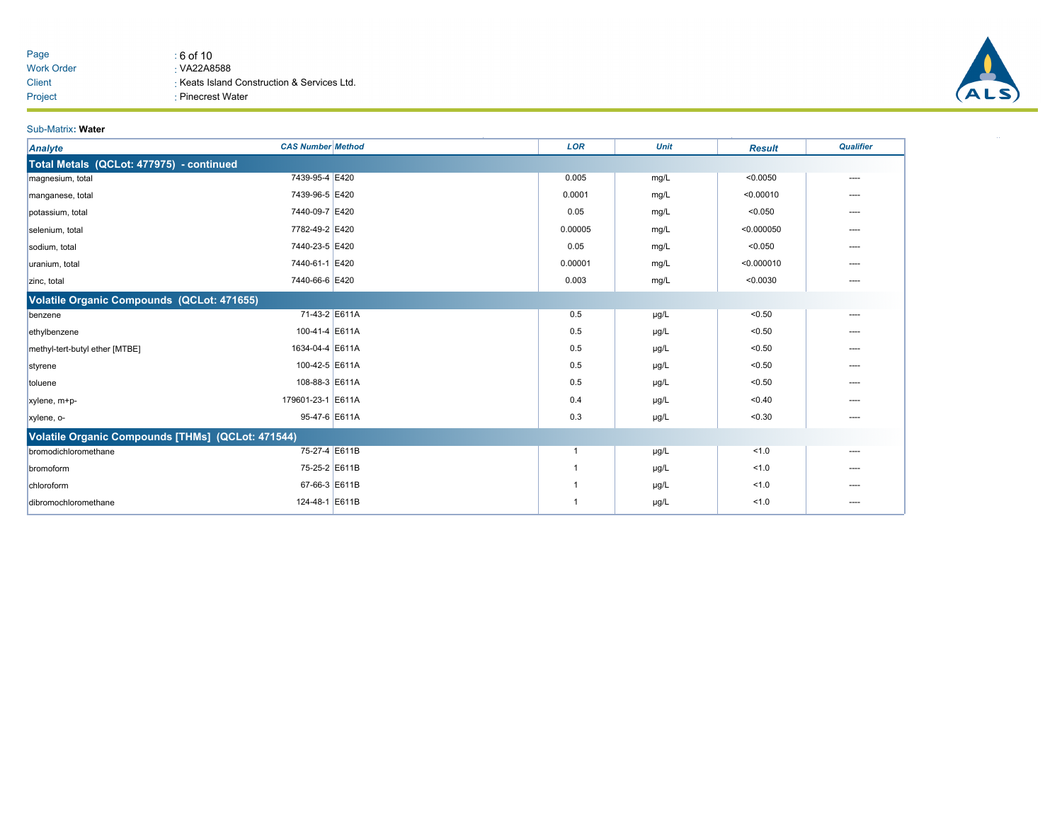| Page       | ∶6 of 10                                  |
|------------|-------------------------------------------|
| Work Order | $\cdot$ VA22A8588                         |
| Client     | Keats Island Construction & Services Ltd. |
| Project    | ⋅ Pinecrest Water                         |



#### Sub-Matrix**: Water**

| <b>Analyte</b>                                    | <b>CAS Number Method</b> | <b>LOR</b> | <b>Unit</b> | <b>Result</b> | <b>Qualifier</b> |
|---------------------------------------------------|--------------------------|------------|-------------|---------------|------------------|
| Total Metals (QCLot: 477975) - continued          |                          |            |             |               |                  |
| magnesium, total                                  | 7439-95-4 E420           | 0.005      | mg/L        | < 0.0050      | ----             |
| manganese, total                                  | 7439-96-5 E420           | 0.0001     | mg/L        | < 0.00010     |                  |
| potassium, total                                  | 7440-09-7 E420           | 0.05       | mg/L        | < 0.050       | ----             |
| selenium, total                                   | 7782-49-2 E420           | 0.00005    | mg/L        | < 0.000050    | ----             |
| sodium, total                                     | 7440-23-5 E420           | 0.05       | mg/L        | < 0.050       | ----             |
| uranium, total                                    | 7440-61-1 E420           | 0.00001    | mg/L        | < 0.000010    | ----             |
| zinc, total                                       | 7440-66-6 E420           | 0.003      | mg/L        | < 0.0030      | ----             |
| Volatile Organic Compounds (QCLot: 471655)        |                          |            |             |               |                  |
| benzene                                           | 71-43-2 E611A            | 0.5        | µg/L        | < 0.50        | ----             |
| ethylbenzene                                      | 100-41-4 E611A           | 0.5        | µg/L        | < 0.50        |                  |
| methyl-tert-butyl ether [MTBE]                    | 1634-04-4 E611A          | 0.5        | $\mu$ g/L   | < 0.50        | ----             |
| styrene                                           | 100-42-5 E611A           | 0.5        | µg/L        | < 0.50        | ----             |
| toluene                                           | 108-88-3 E611A           | 0.5        | µg/L        | < 0.50        |                  |
| xylene, m+p-                                      | 179601-23-1 E611A        | 0.4        | µg/L        | < 0.40        | ----             |
| xylene, o-                                        | 95-47-6 E611A            | 0.3        | µg/L        | < 0.30        | ----             |
| Volatile Organic Compounds [THMs] (QCLot: 471544) |                          |            |             |               |                  |
| bromodichloromethane                              | 75-27-4 E611B            |            | µg/L        | 1.0           | $---$            |
| bromoform                                         | 75-25-2 E611B            |            | µg/L        | 1.0           | ----             |
| chloroform                                        | 67-66-3 E611B            |            | µg/L        | 1.0           |                  |
| dibromochloromethane                              | 124-48-1 E611B           |            | µg/L        | 1.0           | ----             |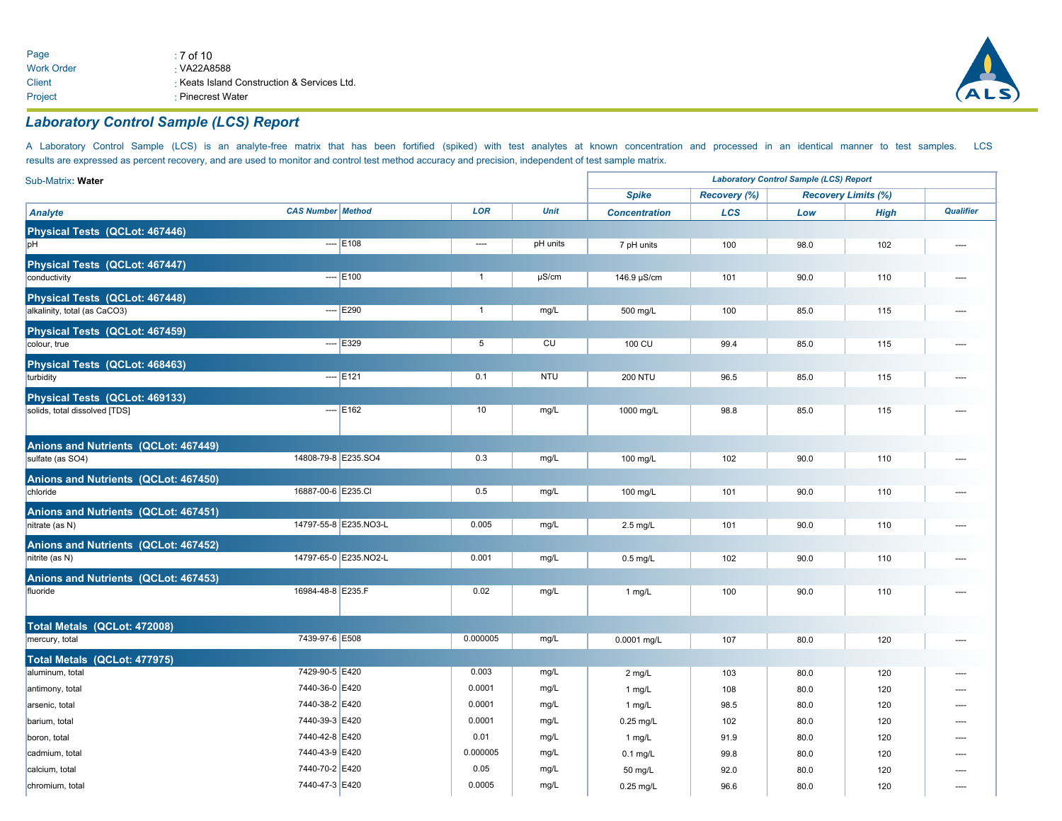

## *Laboratory Control Sample (LCS) Report*

A Laboratory Control Sample (LCS) is an analyte-free matrix that has been fortified (spiked) with test analytes at known concentration and processed in an identical manner to test samples. LCS results are expressed as percent recovery, and are used to monitor and control test method accuracy and precision, independent of test sample matrix.

| Sub-Matrix: Water                    |                          |                       |                |             | <b>Laboratory Control Sample (LCS) Report</b> |              |      |                            |           |  |
|--------------------------------------|--------------------------|-----------------------|----------------|-------------|-----------------------------------------------|--------------|------|----------------------------|-----------|--|
|                                      |                          |                       |                |             | <b>Spike</b>                                  | Recovery (%) |      | <b>Recovery Limits (%)</b> |           |  |
| <b>Analyte</b>                       | <b>CAS Number Method</b> |                       | <b>LOR</b>     | <b>Unit</b> | <b>Concentration</b>                          | LCS          | Low  | <b>High</b>                | Qualifier |  |
| Physical Tests (QCLot: 467446)       |                          |                       |                |             |                                               |              |      |                            |           |  |
| bH                                   |                          | $- -$ E108            | ----           | pH units    | 7 pH units                                    | 100          | 98.0 | 102                        | ----      |  |
| Physical Tests (QCLot: 467447)       |                          |                       |                |             |                                               |              |      |                            |           |  |
| conductivity                         |                          | $- -$ E100            | $\overline{1}$ | $\mu$ S/cm  | 146.9 µS/cm                                   | 101          | 90.0 | 110                        |           |  |
| Physical Tests (QCLot: 467448)       |                          |                       |                |             |                                               |              |      |                            |           |  |
| alkalinity, total (as CaCO3)         |                          | $-$ - $ E290$         | $\mathbf{1}$   | mg/L        | 500 mg/L                                      | 100          | 85.0 | 115                        |           |  |
| Physical Tests (QCLot: 467459)       |                          |                       |                |             |                                               |              |      |                            |           |  |
| colour, true                         |                          | $-$ - $E329$          | 5              | CU          | 100 CU                                        | 99.4         | 85.0 | 115                        |           |  |
| Physical Tests (QCLot: 468463)       |                          |                       |                |             |                                               |              |      |                            |           |  |
| turbidity                            |                          | $-$ - $E121$          | 0.1            | <b>NTU</b>  | <b>200 NTU</b>                                | 96.5         | 85.0 | 115                        |           |  |
| Physical Tests (QCLot: 469133)       |                          |                       |                |             |                                               |              |      |                            |           |  |
| solids, total dissolved [TDS]        |                          | $- -$ E162            | 10             | mg/L        | 1000 mg/L                                     | 98.8         | 85.0 | 115                        |           |  |
|                                      |                          |                       |                |             |                                               |              |      |                            |           |  |
| Anions and Nutrients (QCLot: 467449) |                          |                       |                |             |                                               |              |      |                            |           |  |
| sulfate (as SO4)                     | 14808-79-8 E235.SO4      |                       | 0.3            | mg/L        | 100 mg/L                                      | 102          | 90.0 | 110                        |           |  |
| Anions and Nutrients (QCLot: 467450) |                          |                       |                |             |                                               |              |      |                            |           |  |
| chloride                             | 16887-00-6 E235.CI       |                       | 0.5            | mg/L        | 100 mg/L                                      | 101          | 90.0 | 110                        |           |  |
| Anions and Nutrients (QCLot: 467451) |                          |                       |                |             |                                               |              |      |                            |           |  |
| nitrate (as N)                       |                          | 14797-55-8 E235.NO3-L | 0.005          | mg/L        | 2.5 mg/L                                      | 101          | 90.0 | 110                        |           |  |
| Anions and Nutrients (QCLot: 467452) |                          |                       |                |             |                                               |              |      |                            |           |  |
| nitrite (as N)                       |                          | 14797-65-0 E235.NO2-L | 0.001          | mg/L        | $0.5$ mg/L                                    | 102          | 90.0 | 110                        |           |  |
| Anions and Nutrients (QCLot: 467453) |                          |                       |                |             |                                               |              |      |                            |           |  |
| fluoride                             | 16984-48-8 E235.F        |                       | 0.02           | mg/L        | 1 mg/L                                        | 100          | 90.0 | 110                        |           |  |
|                                      |                          |                       |                |             |                                               |              |      |                            |           |  |
| Total Metals (QCLot: 472008)         |                          |                       |                |             |                                               |              |      |                            |           |  |
| mercury, total                       | 7439-97-6 E508           |                       | 0.000005       | mg/L        | 0.0001 mg/L                                   | 107          | 80.0 | 120                        |           |  |
| Total Metals (QCLot: 477975)         |                          |                       |                |             |                                               |              |      |                            |           |  |
| aluminum, total                      | 7429-90-5 E420           |                       | 0.003          | mg/L        | $2$ mg/L                                      | 103          | 80.0 | 120                        |           |  |
| antimony, total                      | 7440-36-0 E420           |                       | 0.0001         | mg/L        | 1 $mg/L$                                      | 108          | 80.0 | 120                        |           |  |
| arsenic, total                       | 7440-38-2 E420           |                       | 0.0001         | mg/L        | $1$ mg/L                                      | 98.5         | 80.0 | 120                        |           |  |
| barium, total                        | 7440-39-3 E420           |                       | 0.0001         | mg/L        | $0.25$ mg/L                                   | 102          | 80.0 | 120                        |           |  |
| boron, total                         | 7440-42-8 E420           |                       | 0.01           | mg/L        | 1 $mg/L$                                      | 91.9         | 80.0 | 120                        | ----      |  |
| cadmium, total                       | 7440-43-9 E420           |                       | 0.000005       | mg/L        | $0.1$ mg/L                                    | 99.8         | 80.0 | 120                        |           |  |
| calcium, total                       | 7440-70-2 E420           |                       | 0.05           | mg/L        | 50 mg/L                                       | 92.0         | 80.0 | 120                        |           |  |
| chromium, total                      | 7440-47-3 E420           |                       | 0.0005         | mg/L        | $0.25$ mg/L                                   | 96.6         | 80.0 | 120                        |           |  |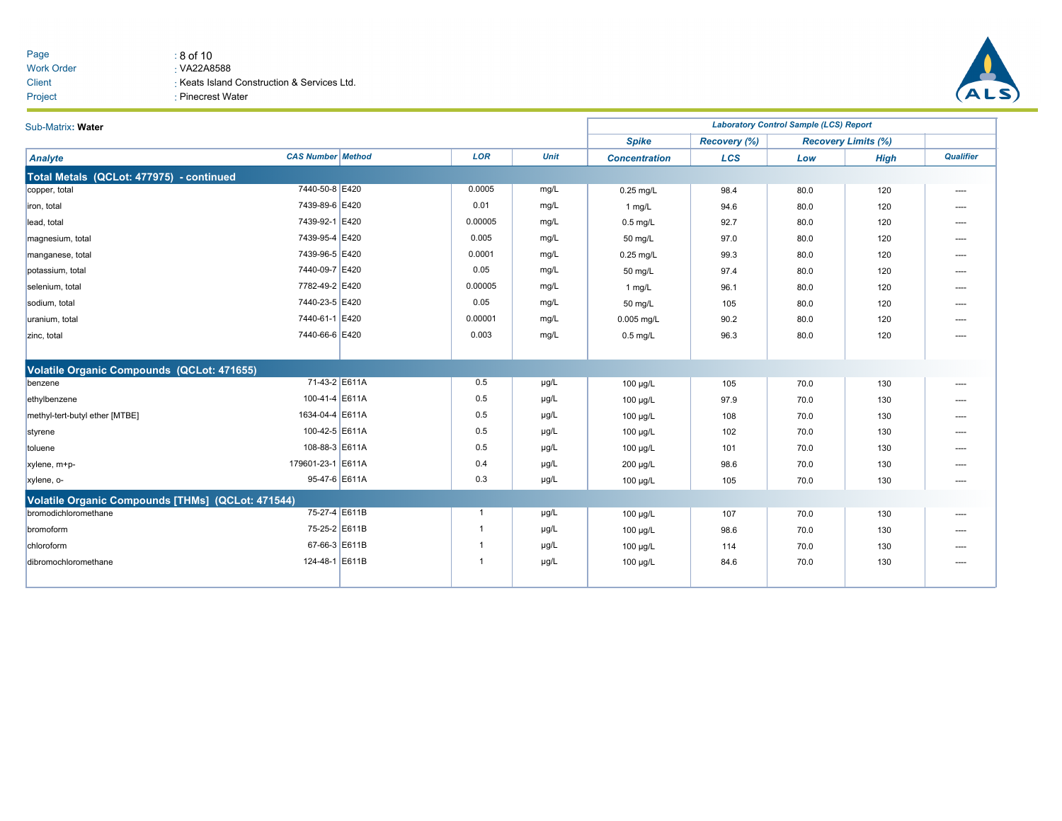| Page              | : 8 of 10                                 |
|-------------------|-------------------------------------------|
| <b>Work Order</b> | $\cdot$ VA22A8588                         |
| Client            | Keats Island Construction & Services Ltd. |
| Project           | ⋅ Pinecrest Water                         |



| Sub-Matrix: Water                                 | <b>Laboratory Control Sample (LCS) Report</b> |              |             |                      |              |      |                            |                  |  |  |  |  |
|---------------------------------------------------|-----------------------------------------------|--------------|-------------|----------------------|--------------|------|----------------------------|------------------|--|--|--|--|
|                                                   |                                               |              |             | <b>Spike</b>         | Recovery (%) |      | <b>Recovery Limits (%)</b> |                  |  |  |  |  |
| Analyte                                           | <b>CAS Number Method</b>                      | <b>LOR</b>   | <b>Unit</b> | <b>Concentration</b> | LCS          | Low  | <b>High</b>                | <b>Qualifier</b> |  |  |  |  |
| Total Metals (QCLot: 477975) - continued          |                                               |              |             |                      |              |      |                            |                  |  |  |  |  |
| copper, total                                     | 7440-50-8 E420                                | 0.0005       | mg/L        | $0.25$ mg/L          | 98.4         | 80.0 | 120                        | ----             |  |  |  |  |
| iron, total                                       | 7439-89-6 E420                                | 0.01         | mg/L        | 1 mg/L               | 94.6         | 80.0 | 120                        | ----             |  |  |  |  |
| lead, total                                       | 7439-92-1 E420                                | 0.00005      | mg/L        | $0.5$ mg/L           | 92.7         | 80.0 | 120                        | ----             |  |  |  |  |
| magnesium, total                                  | 7439-95-4 E420                                | 0.005        | mg/L        | 50 mg/L              | 97.0         | 80.0 | 120                        | ----             |  |  |  |  |
| manganese, total                                  | 7439-96-5 E420                                | 0.0001       | mg/L        | $0.25$ mg/L          | 99.3         | 80.0 | 120                        | ----             |  |  |  |  |
| potassium, total                                  | 7440-09-7 E420                                | 0.05         | mg/L        | 50 mg/L              | 97.4         | 80.0 | 120                        | ----             |  |  |  |  |
| selenium, total                                   | 7782-49-2 E420                                | 0.00005      | mg/L        | 1 mg/L               | 96.1         | 80.0 | 120                        | ----             |  |  |  |  |
| sodium, total                                     | 7440-23-5 E420                                | 0.05         | mg/L        | 50 mg/L              | 105          | 80.0 | 120                        | ----             |  |  |  |  |
| uranium, total                                    | 7440-61-1 E420                                | 0.00001      | mg/L        | $0.005$ mg/L         | 90.2         | 80.0 | 120                        | ----             |  |  |  |  |
| zinc, total                                       | 7440-66-6 E420                                | 0.003        | mg/L        | $0.5$ mg/L           | 96.3         | 80.0 | 120                        | ----             |  |  |  |  |
|                                                   |                                               |              |             |                      |              |      |                            |                  |  |  |  |  |
| Volatile Organic Compounds (QCLot: 471655)        |                                               |              |             |                      |              |      |                            |                  |  |  |  |  |
| benzene                                           | 71-43-2 E611A                                 | 0.5          | µg/L        | 100 µg/L             | 105          | 70.0 | 130                        | $\cdots$         |  |  |  |  |
| ethylbenzene                                      | 100-41-4 E611A                                | 0.5          | µg/L        | $100 \mu g/L$        | 97.9         | 70.0 | 130                        |                  |  |  |  |  |
| methyl-tert-butyl ether [MTBE]                    | 1634-04-4 E611A                               | 0.5          | µg/L        | $100 \mu g/L$        | 108          | 70.0 | 130                        | ----             |  |  |  |  |
| styrene                                           | 100-42-5 E611A                                | 0.5          | µg/L        | $100 \mu g/L$        | 102          | 70.0 | 130                        | ----             |  |  |  |  |
| toluene                                           | 108-88-3 E611A                                | 0.5          | µg/L        | 100 µg/L             | 101          | 70.0 | 130                        | ----             |  |  |  |  |
| xylene, m+p-                                      | 179601-23-1 E611A                             | 0.4          | µg/L        | $200 \mu g/L$        | 98.6         | 70.0 | 130                        | ----             |  |  |  |  |
| xylene, o-                                        | 95-47-6 E611A                                 | 0.3          | µg/L        | $100 \mu g/L$        | 105          | 70.0 | 130                        | ----             |  |  |  |  |
| Volatile Organic Compounds [THMs] (QCLot: 471544) |                                               |              |             |                      |              |      |                            |                  |  |  |  |  |
| bromodichloromethane                              | 75-27-4 E611B                                 | $\mathbf{1}$ | µg/L        | $100 \mu g/L$        | 107          | 70.0 | 130                        | ----             |  |  |  |  |
| bromoform                                         | 75-25-2 E611B                                 |              | µg/L        | $100 \mu g/L$        | 98.6         | 70.0 | 130                        | ----             |  |  |  |  |
| chloroform                                        | 67-66-3 E611B                                 |              | µg/L        | 100 µg/L             | 114          | 70.0 | 130                        | ----             |  |  |  |  |
| dibromochloromethane                              | 124-48-1 E611B                                |              | µg/L        | $100 \mu g/L$        | 84.6         | 70.0 | 130                        | ----             |  |  |  |  |
|                                                   |                                               |              |             |                      |              |      |                            |                  |  |  |  |  |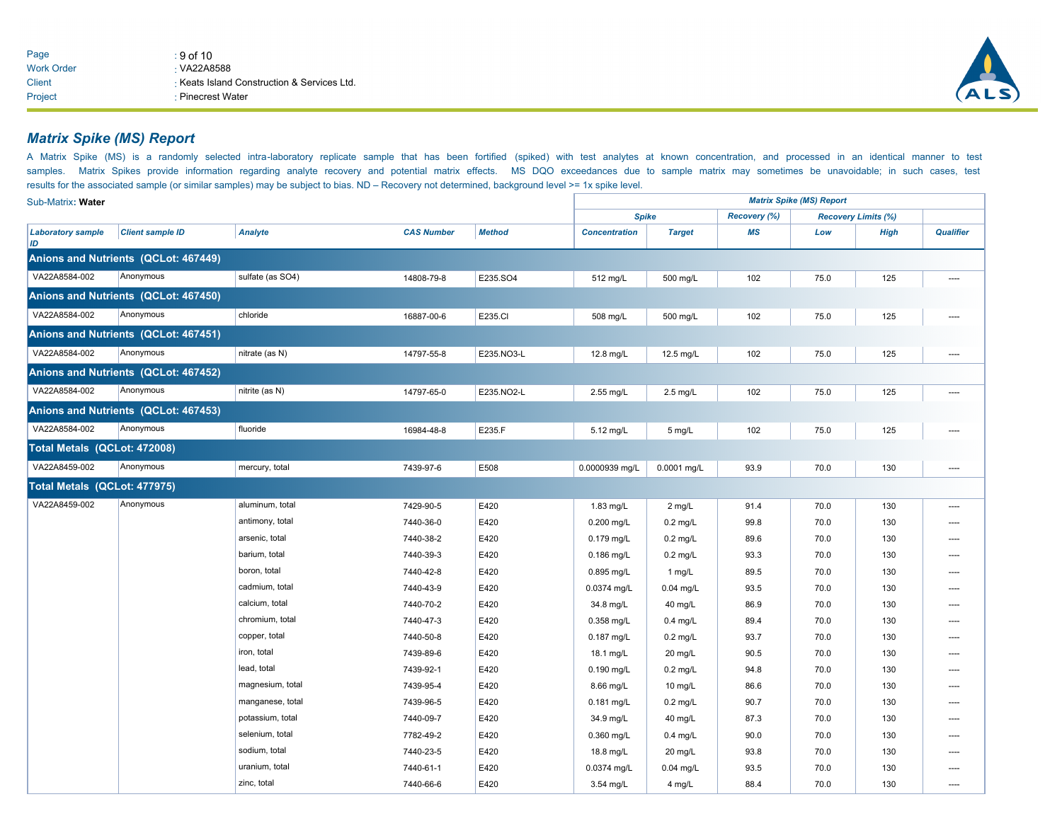

## *Matrix Spike (MS) Report*

A Matrix Spike (MS) is a randomly selected intra-laboratory replicate sample that has been fortified (spiked) with test analytes at known concentration, and processed in an identical manner to test samples. Matrix Spikes provide information regarding analyte recovery and potential matrix effects. MS DQO exceedances due to sample matrix may sometimes be unavoidable; in such cases, test results for the associated sample (or similar samples) may be subject to bias. ND – Recovery not determined, background level >= 1x spike level.

| Sub-Matrix: Water              |                                      |                  |                   |               |                      |               |                     | <b>Matrix Spike (MS) Report</b> |                            | <b>Qualifier</b><br>----<br>----<br>----<br>----<br>----<br>----<br>----<br>---- |
|--------------------------------|--------------------------------------|------------------|-------------------|---------------|----------------------|---------------|---------------------|---------------------------------|----------------------------|----------------------------------------------------------------------------------|
|                                |                                      |                  |                   |               | <b>Spike</b>         |               | <b>Recovery (%)</b> |                                 | <b>Recovery Limits (%)</b> |                                                                                  |
| <b>Laboratory sample</b><br>ID | <b>Client sample ID</b>              | <b>Analyte</b>   | <b>CAS Number</b> | <b>Method</b> | <b>Concentration</b> | <b>Target</b> | <b>MS</b>           | Low                             | <b>High</b>                |                                                                                  |
|                                | Anions and Nutrients (QCLot: 467449) |                  |                   |               |                      |               |                     |                                 |                            |                                                                                  |
| VA22A8584-002                  | Anonymous                            | sulfate (as SO4) | 14808-79-8        | E235.SO4      | 512 mg/L             | 500 mg/L      | 102                 | 75.0                            | 125                        |                                                                                  |
|                                | Anions and Nutrients (QCLot: 467450) |                  |                   |               |                      |               |                     |                                 |                            |                                                                                  |
| VA22A8584-002                  | Anonymous                            | chloride         | 16887-00-6        | E235.CI       | 508 mg/L             | 500 mg/L      | 102                 | 75.0                            | 125                        |                                                                                  |
|                                | Anions and Nutrients (QCLot: 467451) |                  |                   |               |                      |               |                     |                                 |                            |                                                                                  |
| VA22A8584-002                  | Anonymous                            | nitrate (as N)   | 14797-55-8        | E235.NO3-L    | 12.8 mg/L            | 12.5 mg/L     | 102                 | 75.0                            | 125                        |                                                                                  |
|                                | Anions and Nutrients (QCLot: 467452) |                  |                   |               |                      |               |                     |                                 |                            |                                                                                  |
| VA22A8584-002                  | Anonymous                            | nitrite (as N)   | 14797-65-0        | E235.NO2-L    | 2.55 mg/L            | $2.5$ mg/L    | 102                 | 75.0                            | 125                        |                                                                                  |
|                                | Anions and Nutrients (QCLot: 467453) |                  |                   |               |                      |               |                     |                                 |                            |                                                                                  |
| VA22A8584-002                  | Anonymous                            | fluoride         | 16984-48-8        | E235.F        | 5.12 mg/L            | 5 mg/L        | 102                 | 75.0                            | 125                        |                                                                                  |
| Total Metals (QCLot: 472008)   |                                      |                  |                   |               |                      |               |                     |                                 |                            |                                                                                  |
| VA22A8459-002                  | Anonymous                            | mercury, total   | 7439-97-6         | E508          | 0.0000939 mg/L       | 0.0001 mg/L   | 93.9                | 70.0                            | 130                        |                                                                                  |
| Total Metals (QCLot: 477975)   |                                      |                  |                   |               |                      |               |                     |                                 |                            |                                                                                  |
| VA22A8459-002                  | Anonymous                            | aluminum, total  | 7429-90-5         | E420          | 1.83 mg/L            | 2 mg/L        | 91.4                | 70.0                            | 130                        |                                                                                  |
|                                |                                      | antimony, total  | 7440-36-0         | E420          | $0.200$ mg/L         | $0.2$ mg/L    | 99.8                | 70.0                            | 130                        |                                                                                  |
|                                |                                      | arsenic, total   | 7440-38-2         | E420          | $0.179$ mg/L         | $0.2$ mg/L    | 89.6                | 70.0                            | 130                        |                                                                                  |
|                                |                                      | barium, total    | 7440-39-3         | E420          | 0.186 mg/L           | $0.2$ mg/L    | 93.3                | 70.0                            | 130                        |                                                                                  |
|                                |                                      | boron, total     | 7440-42-8         | E420          | 0.895 mg/L           | 1 mg/L        | 89.5                | 70.0                            | 130                        |                                                                                  |
|                                |                                      | cadmium, total   | 7440-43-9         | E420          | 0.0374 mg/L          | 0.04 mg/L     | 93.5                | 70.0                            | 130                        |                                                                                  |
|                                |                                      | calcium, total   | 7440-70-2         | E420          | 34.8 mg/L            | 40 mg/L       | 86.9                | 70.0                            | 130                        |                                                                                  |
|                                |                                      | chromium, total  | 7440-47-3         | E420          | 0.358 mg/L           | $0.4$ mg/L    | 89.4                | 70.0                            | 130                        |                                                                                  |
|                                |                                      | copper, total    | 7440-50-8         | E420          | $0.187$ mg/L         | $0.2$ mg/L    | 93.7                | 70.0                            | 130                        |                                                                                  |
|                                |                                      | iron, total      | 7439-89-6         | E420          | 18.1 mg/L            | 20 mg/L       | 90.5                | 70.0                            | 130                        |                                                                                  |
|                                |                                      | lead, total      | 7439-92-1         | E420          | 0.190 mg/L           | $0.2$ mg/L    | 94.8                | 70.0                            | 130                        |                                                                                  |
|                                |                                      | magnesium, total | 7439-95-4         | E420          | 8.66 mg/L            | 10 mg/L       | 86.6                | 70.0                            | 130                        |                                                                                  |
|                                |                                      | manganese, total | 7439-96-5         | E420          | $0.181$ mg/L         | $0.2$ mg/L    | 90.7                | 70.0                            | 130                        |                                                                                  |
|                                |                                      | potassium, total | 7440-09-7         | E420          | 34.9 mg/L            | 40 mg/L       | 87.3                | 70.0                            | 130                        |                                                                                  |
|                                |                                      | selenium, total  | 7782-49-2         | E420          | 0.360 mg/L           | $0.4$ mg/L    | 90.0                | 70.0                            | 130                        |                                                                                  |
|                                |                                      | sodium, total    | 7440-23-5         | E420          | 18.8 mg/L            | 20 mg/L       | 93.8                | 70.0                            | 130                        |                                                                                  |
|                                |                                      | uranium, total   | 7440-61-1         | E420          | 0.0374 mg/L          | $0.04$ mg/L   | 93.5                | 70.0                            | 130                        | ----                                                                             |
|                                |                                      | zinc, total      | 7440-66-6         | E420          | 3.54 mg/L            | 4 mg/L        | 88.4                | 70.0                            | 130                        | ----                                                                             |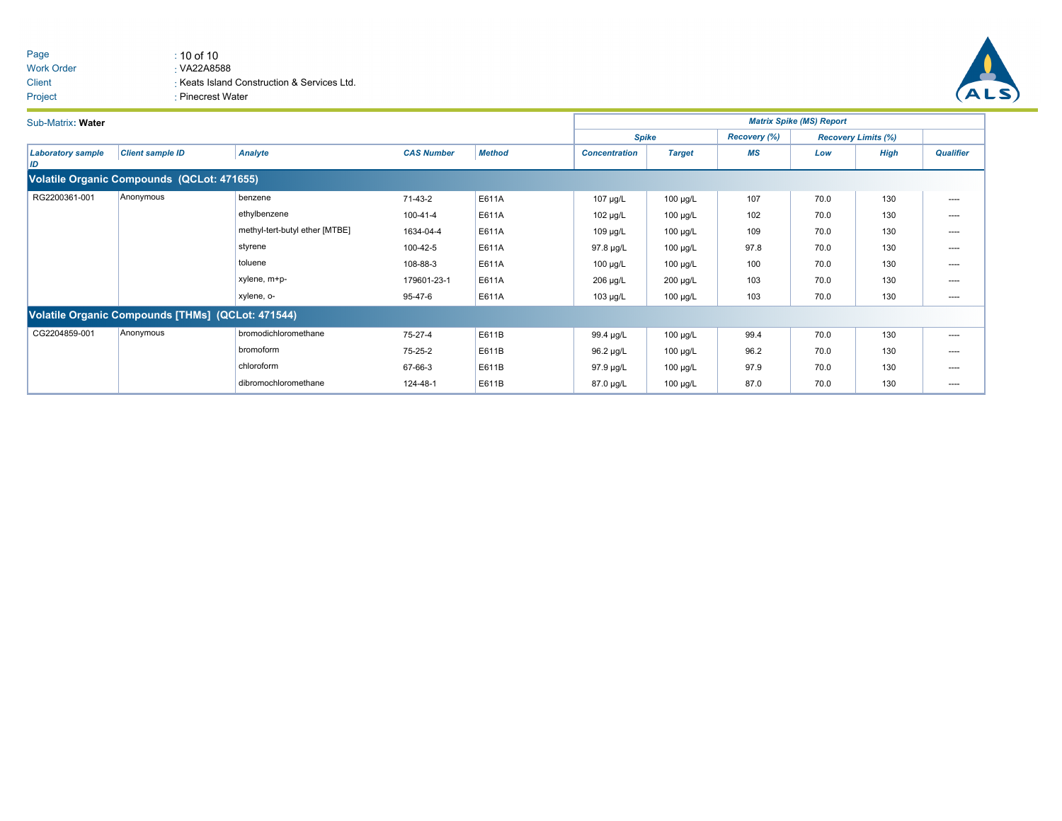#### Page  $\qquad \qquad$  : 10 of 10 Work Order **Client** VA22A8588 Keats Island Construction & Services Ltd. Project **: Pinecrest Water**



| Sub-Matrix: Water                          |                                                   |                                |                   |               | <b>Matrix Spike (MS) Report</b> |               |                     |      |                            |                  |  |  |  |  |  |
|--------------------------------------------|---------------------------------------------------|--------------------------------|-------------------|---------------|---------------------------------|---------------|---------------------|------|----------------------------|------------------|--|--|--|--|--|
|                                            |                                                   |                                |                   |               | <b>Spike</b>                    |               | <b>Recovery (%)</b> |      | <b>Recovery Limits (%)</b> |                  |  |  |  |  |  |
| <b>Laboratory sample</b><br>ID             | <b>Client sample ID</b>                           | <b>Analyte</b>                 | <b>CAS Number</b> | <b>Method</b> | <b>Concentration</b>            | <b>Target</b> | <b>MS</b>           | Low  | <b>High</b>                | <b>Qualifier</b> |  |  |  |  |  |
| Volatile Organic Compounds (QCLot: 471655) |                                                   |                                |                   |               |                                 |               |                     |      |                            |                  |  |  |  |  |  |
| RG2200361-001                              | Anonymous                                         | benzene                        | 71-43-2           | E611A         | $107 \mu g/L$                   | 100 µg/L      | 107                 | 70.0 | 130                        | ----             |  |  |  |  |  |
|                                            |                                                   | ethylbenzene                   | 100-41-4          | E611A         | $102 \mu g/L$                   | $100 \mu g/L$ | 102                 | 70.0 | 130                        | $\cdots$         |  |  |  |  |  |
|                                            |                                                   | methyl-tert-butyl ether [MTBE] | 1634-04-4         | E611A         | $109 \mu g/L$                   | 100 µg/L      | 109                 | 70.0 | 130                        | $\cdots$         |  |  |  |  |  |
|                                            |                                                   | styrene                        | 100-42-5          | E611A         | 97.8 µg/L                       | 100 µg/L      | 97.8                | 70.0 | 130                        | ----             |  |  |  |  |  |
|                                            |                                                   | toluene                        | 108-88-3          | E611A         | $100 \mu g/L$                   | 100 µg/L      | 100                 | 70.0 | 130                        | ----             |  |  |  |  |  |
|                                            |                                                   | xylene, m+p-                   | 179601-23-1       | E611A         | 206 µg/L                        | 200 µg/L      | 103                 | 70.0 | 130                        | $\cdots$         |  |  |  |  |  |
|                                            |                                                   | xylene, o-                     | 95-47-6           | E611A         | 103 µg/L                        | 100 µg/L      | 103                 | 70.0 | 130                        | ----             |  |  |  |  |  |
|                                            | Volatile Organic Compounds [THMs] (QCLot: 471544) |                                |                   |               |                                 |               |                     |      |                            |                  |  |  |  |  |  |
| CG2204859-001                              | Anonymous                                         | bromodichloromethane           | 75-27-4           | E611B         | 99.4 µg/L                       | 100 µg/L      | 99.4                | 70.0 | 130                        | ----             |  |  |  |  |  |
|                                            |                                                   | bromoform                      | 75-25-2           | E611B         | 96.2 µg/L                       | 100 µg/L      | 96.2                | 70.0 | 130                        | $\cdots$         |  |  |  |  |  |
|                                            |                                                   | chloroform                     | 67-66-3           | E611B         | 97.9 µg/L                       | 100 µg/L      | 97.9                | 70.0 | 130                        | $\cdots$         |  |  |  |  |  |
|                                            |                                                   | dibromochloromethane           | 124-48-1          | E611B         | 87.0 µg/L                       | 100 µg/L      | 87.0                | 70.0 | 130                        | ----             |  |  |  |  |  |